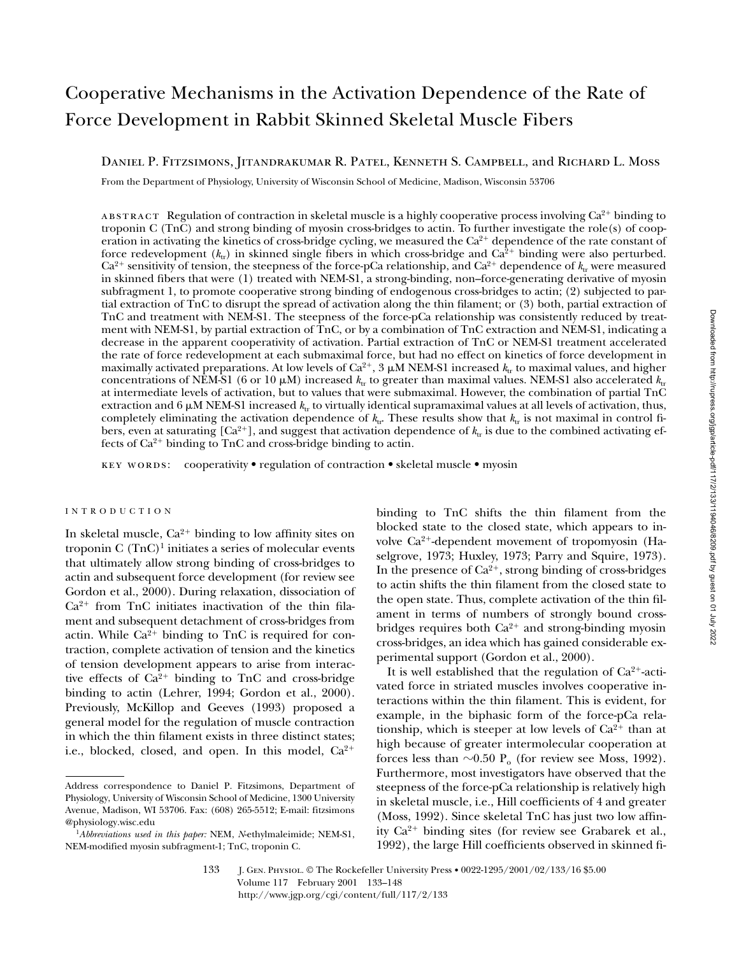# Cooperative Mechanisms in the Activation Dependence of the Rate of Force Development in Rabbit Skinned Skeletal Muscle Fibers

Daniel P. Fitzsimons, Jitandrakumar R. Patel, Kenneth S. Campbell, and Richard L. Moss

From the Department of Physiology, University of Wisconsin School of Medicine, Madison, Wisconsin 53706

ABSTRACT Regulation of contraction in skeletal muscle is a highly cooperative process involving  $Ca^{2+}$  binding to troponin C (TnC) and strong binding of myosin cross-bridges to actin. To further investigate the role(s) of cooperation in activating the kinetics of cross-bridge cycling, we measured the  $Ca<sup>2+</sup>$  dependence of the rate constant of force redevelopment  $(k_{tr})$  in skinned single fibers in which cross-bridge and  $Ca<sup>2+</sup>$  binding were also perturbed.  $Ca^{2+}$  sensitivity of tension, the steepness of the force-pCa relationship, and  $Ca^{2+}$  dependence of  $k_{tr}$  were measured in skinned fibers that were (1) treated with NEM-S1, a strong-binding, non–force-generating derivative of myosin subfragment 1, to promote cooperative strong binding of endogenous cross-bridges to actin; (2) subjected to partial extraction of TnC to disrupt the spread of activation along the thin filament; or (3) both, partial extraction of TnC and treatment with NEM-S1. The steepness of the force-pCa relationship was consistently reduced by treatment with NEM-S1, by partial extraction of TnC, or by a combination of TnC extraction and NEM-S1, indicating a decrease in the apparent cooperativity of activation. Partial extraction of TnC or NEM-S1 treatment accelerated the rate of force redevelopment at each submaximal force, but had no effect on kinetics of force development in maximally activated preparations. At low levels of  $Ca^{2+}$ , 3  $\mu$ M NEM-S1 increased  $k_{tr}$  to maximal values, and higher concentrations of NEM-S1 (6 or 10  $\mu$ M) increased  $k_{\text{tr}}$  to greater than maximal values. NEM-S1 also accelerated  $k_{\text{tr}}$ at intermediate levels of activation, but to values that were submaximal. However, the combination of partial TnC extraction and  $6 \mu$ M NEM-S1 increased  $k_{\text{tr}}$  to virtually identical supramaximal values at all levels of activation, thus, completely eliminating the activation dependence of  $k<sub>tr</sub>$ . These results show that  $k<sub>tr</sub>$  is not maximal in control fibers, even at saturating  $[Ca^{2+}]$ , and suggest that activation dependence of  $k_{tr}$  is due to the combined activating effects of  $Ca^{2+}$  binding to TnC and cross-bridge binding to actin.

key words: cooperativity • regulation of contraction • skeletal muscle • myosin

# INTRODUCTION

In skeletal muscle,  $Ca^{2+}$  binding to low affinity sites on troponin C  $(TnC)^1$  initiates a series of molecular events that ultimately allow strong binding of cross-bridges to actin and subsequent force development (for review see Gordon et al., 2000). During relaxation, dissociation of  $Ca^{2+}$  from TnC initiates inactivation of the thin filament and subsequent detachment of cross-bridges from actin. While  $Ca^{2+}$  binding to TnC is required for contraction, complete activation of tension and the kinetics of tension development appears to arise from interactive effects of  $Ca^{2+}$  binding to TnC and cross-bridge binding to actin (Lehrer, 1994; Gordon et al., 2000). Previously, McKillop and Geeves (1993) proposed a general model for the regulation of muscle contraction in which the thin filament exists in three distinct states; i.e., blocked, closed, and open. In this model,  $Ca^{2+}$ 

binding to TnC shifts the thin filament from the blocked state to the closed state, which appears to involve  $Ca^{2+}$ -dependent movement of tropomyosin (Haselgrove, 1973; Huxley, 1973; Parry and Squire, 1973). In the presence of  $Ca^{2+}$ , strong binding of cross-bridges to actin shifts the thin filament from the closed state to the open state. Thus, complete activation of the thin filament in terms of numbers of strongly bound crossbridges requires both  $Ca^{2+}$  and strong-binding myosin cross-bridges, an idea which has gained considerable experimental support (Gordon et al., 2000).

It is well established that the regulation of  $Ca^{2+}$ -activated force in striated muscles involves cooperative interactions within the thin filament. This is evident, for example, in the biphasic form of the force-pCa relationship, which is steeper at low levels of  $Ca^{2+}$  than at high because of greater intermolecular cooperation at forces less than  $\sim 0.50$  P<sub>o</sub> (for review see Moss, 1992). Furthermore, most investigators have observed that the steepness of the force-pCa relationship is relatively high in skeletal muscle, i.e., Hill coefficients of 4 and greater (Moss, 1992). Since skeletal TnC has just two low affinity  $Ca^{2+}$  binding sites (for review see Grabarek et al., 1992), the large Hill coefficients observed in skinned fi-

Address correspondence to Daniel P. Fitzsimons, Department of Physiology, University of Wisconsin School of Medicine, 1300 University Avenue, Madison, WI 53706. Fax: (608) 265-5512; E-mail: fitzsimons @physiology.wisc.edu

<sup>1</sup>*Abbreviations used in this paper:* NEM, *N*-ethylmaleimide; NEM-S1, NEM-modified myosin subfragment-1; TnC, troponin C.

<sup>133</sup> J. Gen. Physiol. © The Rockefeller University Press • 0022-1295/2001/02/133/16 \$5.00 Volume 117 February 2001 133–148 http://www.jgp.org/cgi/content/full/117/2/133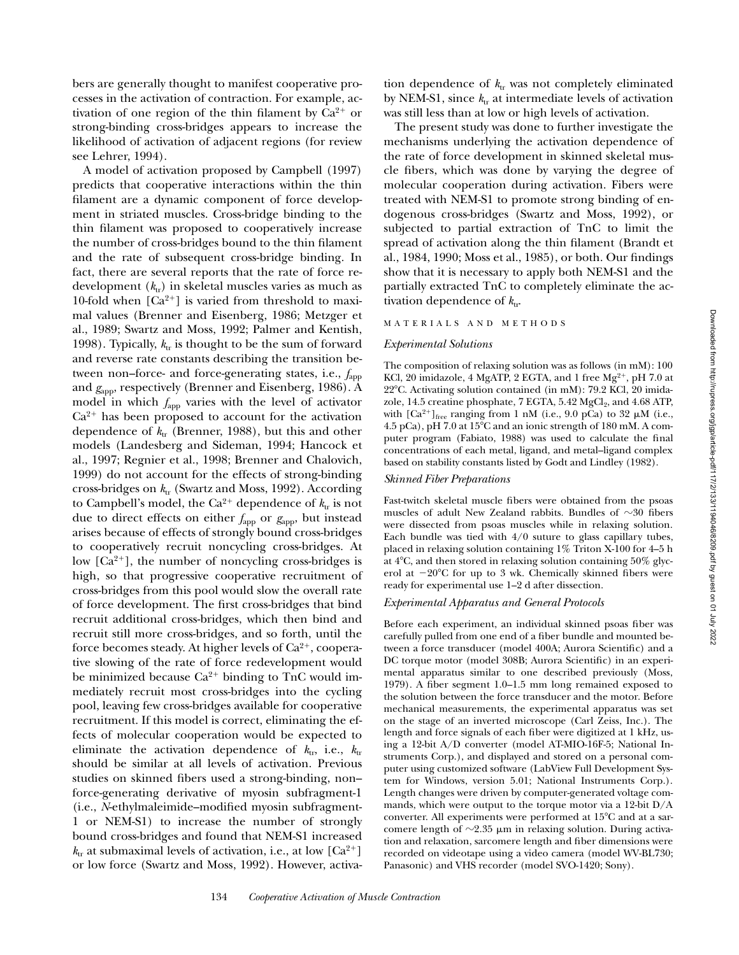bers are generally thought to manifest cooperative processes in the activation of contraction. For example, activation of one region of the thin filament by  $Ca^{2+}$  or strong-binding cross-bridges appears to increase the likelihood of activation of adjacent regions (for review see Lehrer, 1994).

A model of activation proposed by Campbell (1997) predicts that cooperative interactions within the thin filament are a dynamic component of force development in striated muscles. Cross-bridge binding to the thin filament was proposed to cooperatively increase the number of cross-bridges bound to the thin filament and the rate of subsequent cross-bridge binding. In fact, there are several reports that the rate of force redevelopment  $(k_{tr})$  in skeletal muscles varies as much as 10-fold when  $[Ca^{2+}]$  is varied from threshold to maximal values (Brenner and Eisenberg, 1986; Metzger et al., 1989; Swartz and Moss, 1992; Palmer and Kentish, 1998). Typically,  $k_{\text{tr}}$  is thought to be the sum of forward and reverse rate constants describing the transition between non–force- and force-generating states, i.e., *f*app and *g*app, respectively (Brenner and Eisenberg, 1986). A model in which *f*app varies with the level of activator  $Ca<sup>2+</sup>$  has been proposed to account for the activation dependence of  $k_{tr}$  (Brenner, 1988), but this and other models (Landesberg and Sideman, 1994; Hancock et al., 1997; Regnier et al., 1998; Brenner and Chalovich, 1999) do not account for the effects of strong-binding cross-bridges on  $k_{tr}$  (Swartz and Moss, 1992). According to Campbell's model, the  $Ca^{2+}$  dependence of  $k_{tr}$  is not due to direct effects on either  $f_{app}$  or  $g_{app}$ , but instead arises because of effects of strongly bound cross-bridges to cooperatively recruit noncycling cross-bridges. At low  $[Ca^{2+}]$ , the number of noncycling cross-bridges is high, so that progressive cooperative recruitment of cross-bridges from this pool would slow the overall rate of force development. The first cross-bridges that bind recruit additional cross-bridges, which then bind and recruit still more cross-bridges, and so forth, until the force becomes steady. At higher levels of  $Ca^{2+}$ , cooperative slowing of the rate of force redevelopment would be minimized because  $Ca^{2+}$  binding to TnC would immediately recruit most cross-bridges into the cycling pool, leaving few cross-bridges available for cooperative recruitment. If this model is correct, eliminating the effects of molecular cooperation would be expected to eliminate the activation dependence of  $k_{\text{tr}}$ , i.e.,  $k_{\text{tr}}$ should be similar at all levels of activation. Previous studies on skinned fibers used a strong-binding, non– force-generating derivative of myosin subfragment-1 (i.e., *N*-ethylmaleimide–modified myosin subfragment-1 or NEM-S1) to increase the number of strongly bound cross-bridges and found that NEM-S1 increased  $k_{\text{tr}}$  at submaximal levels of activation, i.e., at low  $\lbrack Ca^{2+} \rbrack$ or low force (Swartz and Moss, 1992). However, activation dependence of  $k_{tr}$  was not completely eliminated by NEM-S1, since  $k_{\text{tr}}$  at intermediate levels of activation was still less than at low or high levels of activation.

The present study was done to further investigate the mechanisms underlying the activation dependence of the rate of force development in skinned skeletal muscle fibers, which was done by varying the degree of molecular cooperation during activation. Fibers were treated with NEM-S1 to promote strong binding of endogenous cross-bridges (Swartz and Moss, 1992), or subjected to partial extraction of TnC to limit the spread of activation along the thin filament (Brandt et al., 1984, 1990; Moss et al., 1985), or both. Our findings show that it is necessary to apply both NEM-S1 and the partially extracted TnC to completely eliminate the activation dependence of  $k_{tr}$ .

## MATERIALS AND METHODS

#### *Experimental Solutions*

The composition of relaxing solution was as follows (in mM): 100 KCl, 20 imidazole, 4 MgATP, 2 EGTA, and 1 free  $Mg^{2+}$ , pH 7.0 at 22°C. Activating solution contained (in mM): 79.2 KCl, 20 imidazole, 14.5 creatine phosphate, 7 EGTA, 5.42 MgCl<sub>2</sub>, and 4.68 ATP, with  $[Ca^{2+}]_{\text{free}}$  ranging from 1 nM (i.e., 9.0 pCa) to 32  $\mu$ M (i.e., 4.5 pCa), pH 7.0 at  $15^{\circ}$ C and an ionic strength of 180 mM. A computer program (Fabiato, 1988) was used to calculate the final concentrations of each metal, ligand, and metal–ligand complex based on stability constants listed by Godt and Lindley (1982).

## *Skinned Fiber Preparations*

Fast-twitch skeletal muscle fibers were obtained from the psoas muscles of adult New Zealand rabbits. Bundles of  $\sim$ 30 fibers were dissected from psoas muscles while in relaxing solution. Each bundle was tied with  $4/0$  suture to glass capillary tubes, placed in relaxing solution containing 1% Triton X-100 for 4–5 h at  $4^{\circ}$ C, and then stored in relaxing solution containing  $50\%$  glycerol at  $-20^{\circ}$ C for up to 3 wk. Chemically skinned fibers were ready for experimental use 1–2 d after dissection.

## *Experimental Apparatus and General Protocols*

Before each experiment, an individual skinned psoas fiber was carefully pulled from one end of a fiber bundle and mounted between a force transducer (model 400A; Aurora Scientific) and a DC torque motor (model 308B; Aurora Scientific) in an experimental apparatus similar to one described previously (Moss, 1979). A fiber segment 1.0–1.5 mm long remained exposed to the solution between the force transducer and the motor. Before mechanical measurements, the experimental apparatus was set on the stage of an inverted microscope (Carl Zeiss, Inc.). The length and force signals of each fiber were digitized at 1 kHz, using a 12-bit A/D converter (model AT-MIO-16F-5; National Instruments Corp.), and displayed and stored on a personal computer using customized software (LabView Full Development System for Windows, version 5.01; National Instruments Corp.). Length changes were driven by computer-generated voltage commands, which were output to the torque motor via a 12-bit D/A converter. All experiments were performed at  $15^{\circ}$ C and at a sarcomere length of  $\sim$ 2.35  $\mu$ m in relaxing solution. During activation and relaxation, sarcomere length and fiber dimensions were recorded on videotape using a video camera (model WV-BL730; Panasonic) and VHS recorder (model SVO-1420; Sony).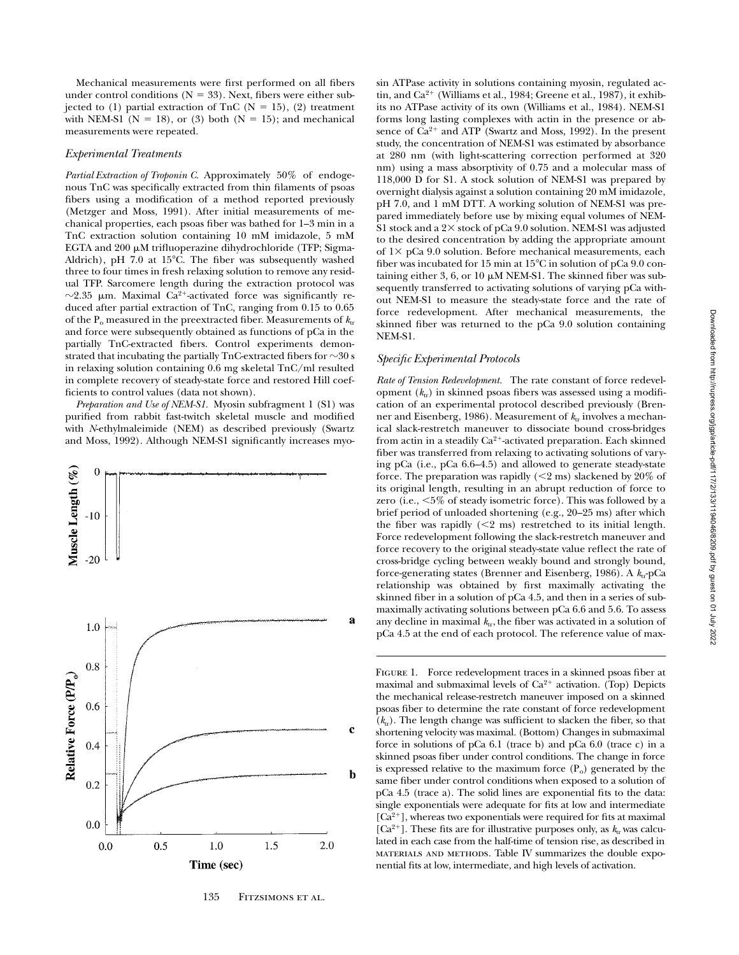Mechanical measurements were first performed on all fibers under control conditions ( $N = 33$ ). Next, fibers were either subjected to (1) partial extraction of TnC ( $N = 15$ ), (2) treatment with NEM-S1 ( $N = 18$ ), or (3) both ( $N = 15$ ); and mechanical measurements were repeated.

## *Experimental Treatments*

*Partial Extraction of Troponin C.* Approximately 50% of endogenous TnC was specifically extracted from thin filaments of psoas fibers using a modification of a method reported previously (Metzger and Moss, 1991). After initial measurements of mechanical properties, each psoas fiber was bathed for 1–3 min in a TnC extraction solution containing 10 mM imidazole, 5 mM EGTA and  $200 \mu$ M trifluoperazine dihydrochloride (TFP; Sigma-Aldrich), pH 7.0 at  $15^{\circ}$ C. The fiber was subsequently washed three to four times in fresh relaxing solution to remove any residual TFP. Sarcomere length during the extraction protocol was  $\sim$ 2.35 µm. Maximal Ca<sup>2+</sup>-activated force was significantly reduced after partial extraction of TnC, ranging from 0.15 to 0.65 of the  $P_0$  measured in the preextracted fiber. Measurements of  $k<sub>tt</sub>$ and force were subsequently obtained as functions of pCa in the partially TnC-extracted fibers. Control experiments demonstrated that incubating the partially  $TnC$ -extracted fibers for  $\sim$ 30 s in relaxing solution containing 0.6 mg skeletal TnC/ml resulted in complete recovery of steady-state force and restored Hill coefficients to control values (data not shown).

*Preparation and Use of NEM-S1.* Myosin subfragment 1 (S1) was purified from rabbit fast-twitch skeletal muscle and modified with *N*-ethylmaleimide (NEM) as described previously (Swartz and Moss, 1992). Although NEM-S1 significantly increases myo-



135 FITZSIMONS ET AL.

sin ATPase activity in solutions containing myosin, regulated actin, and  $Ca^{2+}$  (Williams et al., 1984; Greene et al., 1987), it exhibits no ATPase activity of its own (Williams et al., 1984). NEM-S1 forms long lasting complexes with actin in the presence or absence of  $Ca^{2+}$  and ATP (Swartz and Moss, 1992). In the present study, the concentration of NEM-S1 was estimated by absorbance at 280 nm (with light-scattering correction performed at 320 nm) using a mass absorptivity of 0.75 and a molecular mass of 118,000 D for S1. A stock solution of NEM-S1 was prepared by overnight dialysis against a solution containing 20 mM imidazole, pH 7.0, and 1 mM DTT. A working solution of NEM-S1 was prepared immediately before use by mixing equal volumes of NEM-S1 stock and a  $2\times$  stock of pCa 9.0 solution. NEM-S1 was adjusted to the desired concentration by adding the appropriate amount of  $1\times$  pCa 9.0 solution. Before mechanical measurements, each fiber was incubated for 15 min at  $15^{\circ}$ C in solution of pCa 9.0 containing either 3, 6, or 10  $\mu$ M NEM-S1. The skinned fiber was subsequently transferred to activating solutions of varying pCa without NEM-S1 to measure the steady-state force and the rate of force redevelopment. After mechanical measurements, the skinned fiber was returned to the pCa 9.0 solution containing NEM-S1.

## *Specific Experimental Protocols*

*Rate of Tension Redevelopment.* The rate constant of force redevelopment  $(k_{tr})$  in skinned psoas fibers was assessed using a modification of an experimental protocol described previously (Brenner and Eisenberg, 1986). Measurement of  $k_{tr}$  involves a mechanical slack-restretch maneuver to dissociate bound cross-bridges from actin in a steadily  $Ca^{2+}$ -activated preparation. Each skinned fiber was transferred from relaxing to activating solutions of varying pCa (i.e., pCa 6.6–4.5) and allowed to generate steady-state force. The preparation was rapidly  $(< 2 \text{ ms})$  slackened by 20% of its original length, resulting in an abrupt reduction of force to zero (i.e.,  $\leq 5\%$  of steady isometric force). This was followed by a brief period of unloaded shortening (e.g., 20–25 ms) after which the fiber was rapidly  $(< 2$  ms) restretched to its initial length. Force redevelopment following the slack-restretch maneuver and force recovery to the original steady-state value reflect the rate of cross-bridge cycling between weakly bound and strongly bound, force-generating states (Brenner and Eisenberg, 1986). A  $k_{tr}$ -pCa relationship was obtained by first maximally activating the skinned fiber in a solution of pCa 4.5, and then in a series of submaximally activating solutions between pCa 6.6 and 5.6. To assess any decline in maximal  $k_{\text{tr}}$ , the fiber was activated in a solution of pCa 4.5 at the end of each protocol. The reference value of max-

FIGURE 1. Force redevelopment traces in a skinned psoas fiber at maximal and submaximal levels of  $Ca^{2+}$  activation. (Top) Depicts the mechanical release-restretch maneuver imposed on a skinned psoas fiber to determine the rate constant of force redevelopment  $(k<sub>tr</sub>)$ . The length change was sufficient to slacken the fiber, so that shortening velocity was maximal. (Bottom) Changes in submaximal force in solutions of pCa 6.1 (trace b) and pCa 6.0 (trace c) in a skinned psoas fiber under control conditions. The change in force is expressed relative to the maximum force  $(P_0)$  generated by the same fiber under control conditions when exposed to a solution of pCa 4.5 (trace a). The solid lines are exponential fits to the data: single exponentials were adequate for fits at low and intermediate  $[Ca<sup>2+</sup>]$ , whereas two exponentials were required for fits at maximal [Ca<sup>2+</sup>]. These fits are for illustrative purposes only, as  $k_{tr}$  was calculated in each case from the half-time of tension rise, as described in materials and methods. Table IV summarizes the double exponential fits at low, intermediate, and high levels of activation.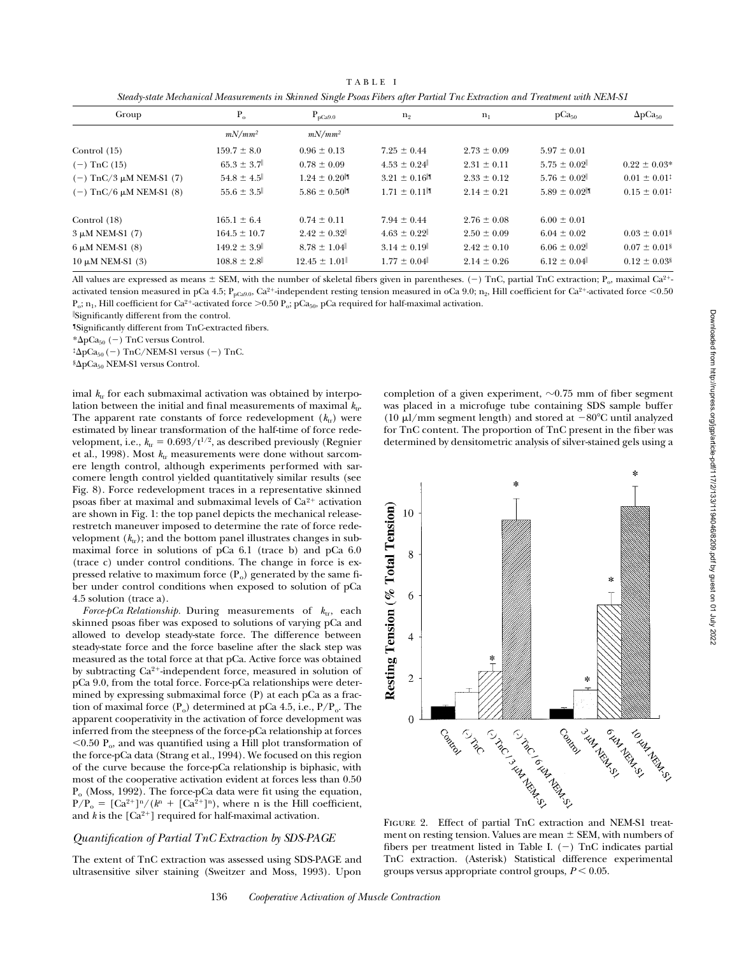TABLE I *Steady-state Mechanical Measurements in Skinned Single Psoas Fibers after Partial Tnc Extraction and Treatment with NEM-S1*

| $P_{\alpha}$<br>Group          |                  | $P_{pCa9.0}$     | $n_{2}$         | $n_1$           | pCa <sub>50</sub> | $\Delta p Ca_{50}$           |
|--------------------------------|------------------|------------------|-----------------|-----------------|-------------------|------------------------------|
|                                | $mN/mm^2$        | $mN/mm^2$        |                 |                 |                   |                              |
| Control $(15)$                 | $159.7 \pm 8.0$  | $0.96 \pm 0.13$  | $7.25 \pm 0.44$ | $2.73 \pm 0.09$ | $5.97 \pm 0.01$   |                              |
| $(-)$ TnC $(15)$               | $65.3 \pm 3.7$   | $0.78 \pm 0.09$  | $4.53 \pm 0.24$ | $2.31 \pm 0.11$ | $5.75 \pm 0.02$   | $0.22 \pm 0.03*$             |
| $(-)$ TnC/3 $\mu$ M NEM-S1 (7) | $54.8 \pm 4.5$   | $1.24 \pm 0.20$  | $3.21 \pm 0.16$ | $2.33 \pm 0.12$ | $5.76 \pm 0.02$   | $0.01 \pm 0.01^{\ddagger}$   |
| $(-)$ TnC/6 $\mu$ M NEM-S1 (8) | $55.6 \pm 3.5$   | $5.86 \pm 0.50$  | $1.71 \pm 0.11$ | $2.14 \pm 0.21$ | $5.89 \pm 0.02$   | $0.15 \pm 0.01^{\ddagger}$   |
| Control (18)                   | $165.1 \pm 6.4$  | $0.74 \pm 0.11$  | $7.94 \pm 0.44$ | $2.76 \pm 0.08$ | $6.00 \pm 0.01$   |                              |
| $3 \mu M$ NEM-S1 (7)           | $164.5 \pm 10.7$ | $2.42 \pm 0.32$  | $4.63 \pm 0.22$ | $2.50 \pm 0.09$ | $6.04 \pm 0.02$   | $0.03 \pm 0.01$ <sup>§</sup> |
| $6 \mu M$ NEM-S1 $(8)$         | $149.2 \pm 3.9$  | $8.78 \pm 1.04$  | $3.14 \pm 0.19$ | $2.42 \pm 0.10$ | $6.06 \pm 0.02$   | $0.07 \pm 0.01$ <sup>§</sup> |
| $10 \mu M$ NEM-S1 (3)          | $108.8 \pm 2.8$  | $12.45 \pm 1.01$ | $1.77 \pm 0.04$ | $2.14 \pm 0.26$ | $6.12 \pm 0.04$   | $0.12 \pm 0.03$ <sup>§</sup> |

All values are expressed as means  $\pm$  SEM, with the number of skeletal fibers given in parentheses. (-) TnC, partial TnC extraction; P<sub>o</sub>, maximal Ca<sup>2+</sup>activated tension measured in pCa 4.5; P<sub>pCa9.0</sub>, Ca<sup>2+</sup>-independent resting tension measured in oCa 9.0; n<sub>2</sub>, Hill coefficient for Ca<sup>2+</sup>-activated force <0.50  $P_o$ ;  $n_1$ , Hill coefficient for Ca<sup>2+</sup>-activated force >0.50  $P_o$ ; pCa<sub>50</sub>, pCa required for half-maximal activation.

i Significantly different from the control.

¶Significantly different from TnC-extracted fibers.

 $*\Delta p Ca_{50} (-)$  TnC versus Control.

 ${}^{\ddagger} \Delta p Ca_{50} (-)$  TnC/NEM-S1 versus (-) TnC.

§ΔpCa<sub>50</sub> NEM-S1 versus Control.

imal  $k_{\text{tr}}$  for each submaximal activation was obtained by interpolation between the initial and final measurements of maximal  $k_{tr}$ . The apparent rate constants of force redevelopment  $(k_{tr})$  were estimated by linear transformation of the half-time of force redevelopment, i.e.,  $k_{tr} = 0.693/t^{1/2}$ , as described previously (Regnier et al., 1998). Most  $k_{tr}$  measurements were done without sarcomere length control, although experiments performed with sarcomere length control yielded quantitatively similar results (see Fig. 8). Force redevelopment traces in a representative skinned psoas fiber at maximal and submaximal levels of  $Ca^{2+}$  activation are shown in Fig. 1: the top panel depicts the mechanical releaserestretch maneuver imposed to determine the rate of force redevelopment  $(k_{tr})$ ; and the bottom panel illustrates changes in submaximal force in solutions of pCa 6.1 (trace b) and pCa 6.0 (trace c) under control conditions. The change in force is expressed relative to maximum force  $(P_0)$  generated by the same fiber under control conditions when exposed to solution of pCa 4.5 solution (trace a).

*Force-pCa Relationship.* During measurements of  $k_{\text{tr}}$ , each skinned psoas fiber was exposed to solutions of varying pCa and allowed to develop steady-state force. The difference between steady-state force and the force baseline after the slack step was measured as the total force at that pCa. Active force was obtained by subtracting  $Ca^{2+}$ -independent force, measured in solution of pCa 9.0, from the total force. Force-pCa relationships were determined by expressing submaximal force (P) at each pCa as a fraction of maximal force  $(P_0)$  determined at pCa 4.5, i.e.,  $P/P_0$ . The apparent cooperativity in the activation of force development was inferred from the steepness of the force-pCa relationship at forces  $<$ 0.50 P<sub>o</sub>, and was quantified using a Hill plot transformation of the force-pCa data (Strang et al., 1994). We focused on this region of the curve because the force-pCa relationship is biphasic, with most of the cooperative activation evident at forces less than 0.50  $P<sub>o</sub>$  (Moss, 1992). The force-pCa data were fit using the equation,  $P/P_0 = [Ca^{2+}]^n/(k^n + [Ca^{2+}]^n)$ , where n is the Hill coefficient, and  $k$  is the  $[Ca^{2+}]$  required for half-maximal activation.

## *Quantification of Partial TnC Extraction by SDS-PAGE*

The extent of TnC extraction was assessed using SDS-PAGE and ultrasensitive silver staining (Sweitzer and Moss, 1993). Upon

completion of a given experiment,  $\sim 0.75$  mm of fiber segment was placed in a microfuge tube containing SDS sample buffer (10  $\mu$ l/mm segment length) and stored at  $-80^{\circ}$ C until analyzed for TnC content. The proportion of TnC present in the fiber was determined by densitometric analysis of silver-stained gels using a

š. Resting Tension (% Total Tension) 10 8 6  $\overline{A}$  $\mathfrak{2}$  $\frac{1}{\frac{1}{\sqrt{2}}\int_{\frac{1}{2}}^{\frac{1}{2}} \frac{1}{\sqrt{2}} \int_{\frac{1}{2}}^{\frac{1}{2}} \frac{1}{\sqrt{2}} \int_{\frac{1}{2}}^{\frac{1}{2}} \frac{1}{\sqrt{2}} \int_{\frac{1}{2}}^{\frac{1}{2}} \frac{1}{\sqrt{2}} \int_{\frac{1}{2}}^{\frac{1}{2}} \frac{1}{\sqrt{2}} \int_{\frac{1}{2}}^{\frac{1}{2}} \frac{1}{\sqrt{2}} \int_{\frac{1}{2}}^{\frac{1}{2}} \frac{1}{\sqrt{2}} \int_{\frac{1}{2$ Contractor Contractor  $\theta$ A CALLADOR ISLAM Cymres Cantor Control

ment on resting tension. Values are mean  $\pm$  SEM, with numbers of fibers per treatment listed in Table I.  $(-)$  TnC indicates partial TnC extraction. (Asterisk) Statistical difference experimental groups versus appropriate control groups,  $P < 0.05$ .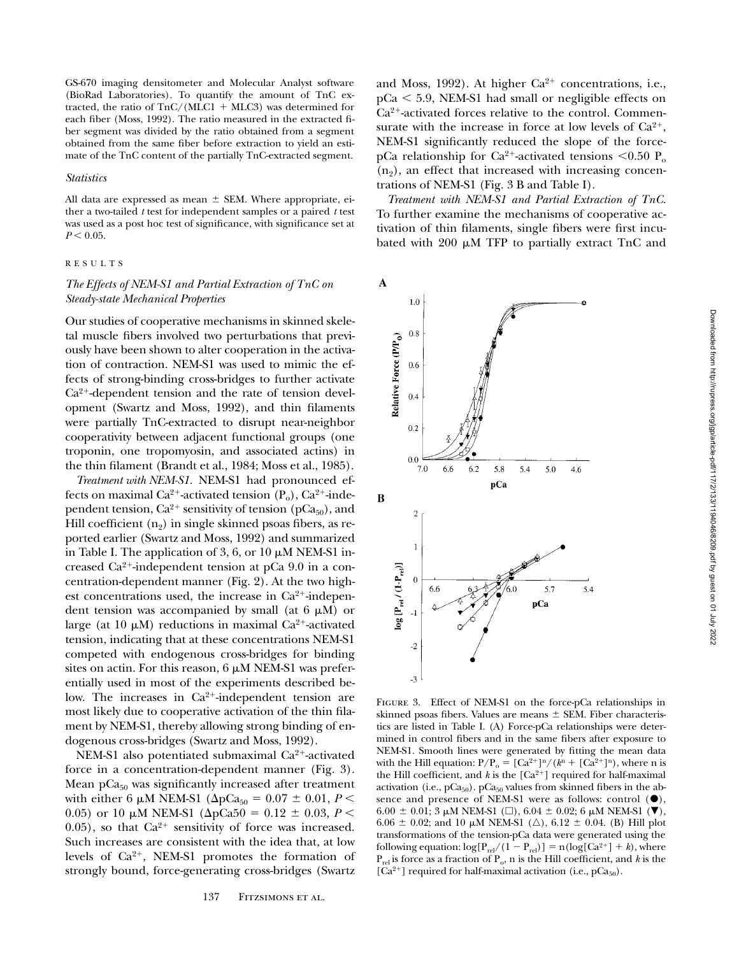GS-670 imaging densitometer and Molecular Analyst software (BioRad Laboratories). To quantify the amount of TnC extracted, the ratio of  $TnC/(MLC1 + MLC3)$  was determined for each fiber (Moss, 1992). The ratio measured in the extracted fiber segment was divided by the ratio obtained from a segment obtained from the same fiber before extraction to yield an estimate of the TnC content of the partially TnC-extracted segment.

#### *Statistics*

All data are expressed as mean  $\pm$  SEM. Where appropriate, either a two-tailed *t* test for independent samples or a paired *t* test was used as a post hoc test of significance, with significance set at  $P < 0.05$ .

# RESULTS

# *The Effects of NEM-S1 and Partial Extraction of TnC on Steady-state Mechanical Properties*

Our studies of cooperative mechanisms in skinned skeletal muscle fibers involved two perturbations that previously have been shown to alter cooperation in the activation of contraction. NEM-S1 was used to mimic the effects of strong-binding cross-bridges to further activate  $Ca<sup>2+</sup>$ -dependent tension and the rate of tension development (Swartz and Moss, 1992), and thin filaments were partially TnC-extracted to disrupt near-neighbor cooperativity between adjacent functional groups (one troponin, one tropomyosin, and associated actins) in the thin filament (Brandt et al., 1984; Moss et al., 1985).

*Treatment with NEM-S1.* NEM-S1 had pronounced effects on maximal Ca<sup>2+</sup>-activated tension  $(P_0)$ , Ca<sup>2+</sup>-independent tension,  $Ca^{2+}$  sensitivity of tension (pCa<sub>50</sub>), and Hill coefficient  $(n_2)$  in single skinned psoas fibers, as reported earlier (Swartz and Moss, 1992) and summarized in Table I. The application of 3, 6, or 10  $\mu$ M NEM-S1 increased  $Ca^{2+}$ -independent tension at pCa 9.0 in a concentration-dependent manner (Fig. 2). At the two highest concentrations used, the increase in  $Ca^{2+}$ -independent tension was accompanied by small (at  $6 \mu M$ ) or large (at 10  $\mu$ M) reductions in maximal Ca<sup>2+</sup>-activated tension, indicating that at these concentrations NEM-S1 competed with endogenous cross-bridges for binding sites on actin. For this reason,  $6 \mu M$  NEM-S1 was preferentially used in most of the experiments described below. The increases in  $Ca^{2+}$ -independent tension are most likely due to cooperative activation of the thin filament by NEM-S1, thereby allowing strong binding of endogenous cross-bridges (Swartz and Moss, 1992).

NEM-S1 also potentiated submaximal  $Ca^{2+}$ -activated force in a concentration-dependent manner (Fig. 3). Mean  $pCa<sub>50</sub>$  was significantly increased after treatment with either 6  $\mu$ M NEM-S1 ( $\Delta pCa_{50} = 0.07 \pm 0.01, P <$ 0.05) or 10  $\mu$ M NEM-S1 ( $\Delta p$ Ca50 = 0.12  $\pm$  0.03, *P* < 0.05), so that  $Ca^{2+}$  sensitivity of force was increased. Such increases are consistent with the idea that, at low levels of  $Ca^{2+}$ , NEM-S1 promotes the formation of strongly bound, force-generating cross-bridges (Swartz and Moss, 1992). At higher  $Ca^{2+}$  concentrations, i.e.,  $pCa < 5.9$ , NEM-S1 had small or negligible effects on  $Ca<sup>2+</sup>$ -activated forces relative to the control. Commensurate with the increase in force at low levels of  $Ca^{2+}$ , NEM-S1 significantly reduced the slope of the forcepCa relationship for Ca<sup>2+</sup>-activated tensions <0.50 P<sub>o</sub>  $(n<sub>2</sub>)$ , an effect that increased with increasing concentrations of NEM-S1 (Fig. 3 B and Table I).

*Treatment with NEM-S1 and Partial Extraction of TnC.* To further examine the mechanisms of cooperative activation of thin filaments, single fibers were first incubated with 200  $\mu$ M TFP to partially extract TnC and



FIGURE 3. Effect of NEM-S1 on the force-pCa relationships in skinned psoas fibers. Values are means  $\pm$  SEM. Fiber characteristics are listed in Table I. (A) Force-pCa relationships were determined in control fibers and in the same fibers after exposure to NEM-S1. Smooth lines were generated by fitting the mean data with the Hill equation:  $P/P_0 = [Ca^{2+}]^n / (k^n + [Ca^{2+}]^n)$ , where n is the Hill coefficient, and  $k$  is the  $[Ca^{2+}]$  required for half-maximal activation (i.e.,  $pCa<sub>50</sub>$ ).  $pCa<sub>50</sub>$  values from skinned fibers in the absence and presence of NEM-S1 were as follows: control  $(①)$ , 6.00  $\pm$  0.01; 3 µM NEM-S1 ( $\square$ ), 6.04  $\pm$  0.02; 6 µM NEM-S1 ( $\nabla$ ), 6.06  $\pm$  0.02; and 10 µM NEM-S1 ( $\triangle$ ), 6.12  $\pm$  0.04. (B) Hill plot transformations of the tension-pCa data were generated using the following equation:  $log[P_{rel}/(1 - P_{rel})] = n(log[Ca^{2+}] + k)$ , where  $P_{rel}$  is force as a fraction of  $P_o$ , n is the Hill coefficient, and *k* is the  $[Ca^{2+}]$  required for half-maximal activation (i.e., pCa<sub>50</sub>).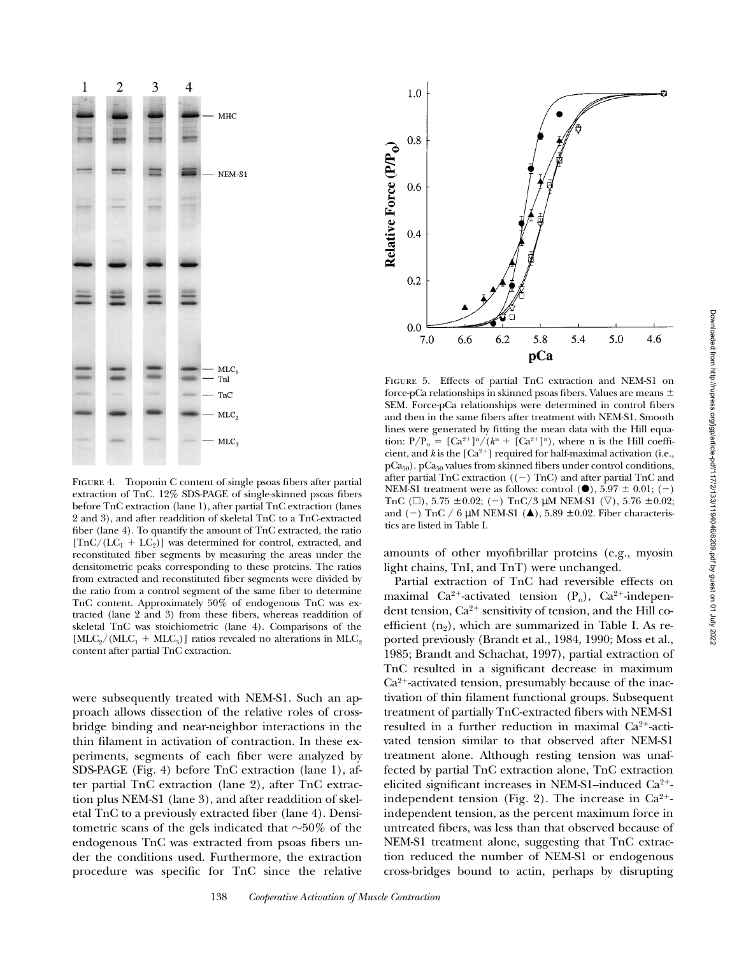

FIGURE 4. Troponin C content of single psoas fibers after partial extraction of TnC. 12% SDS-PAGE of single-skinned psoas fibers before TnC extraction (lane 1), after partial TnC extraction (lanes 2 and 3), and after readdition of skeletal TnC to a TnC-extracted fiber (lane 4). To quantify the amount of TnC extracted, the ratio  $[TnC/(LC_1 + LC_2)]$  was determined for control, extracted, and reconstituted fiber segments by measuring the areas under the densitometric peaks corresponding to these proteins. The ratios from extracted and reconstituted fiber segments were divided by the ratio from a control segment of the same fiber to determine TnC content. Approximately 50% of endogenous TnC was extracted (lane 2 and 3) from these fibers, whereas readdition of skeletal TnC was stoichiometric (lane 4). Comparisons of the  $[MLC_2/(MLC_1 + MLC_3)]$  ratios revealed no alterations in MLC<sub>2</sub> content after partial TnC extraction.

were subsequently treated with NEM-S1. Such an approach allows dissection of the relative roles of crossbridge binding and near-neighbor interactions in the thin filament in activation of contraction. In these experiments, segments of each fiber were analyzed by SDS-PAGE (Fig. 4) before TnC extraction (lane 1), after partial TnC extraction (lane 2), after TnC extraction plus NEM-S1 (lane 3), and after readdition of skeletal TnC to a previously extracted fiber (lane 4). Densitometric scans of the gels indicated that  $\sim$ 50% of the endogenous TnC was extracted from psoas fibers under the conditions used. Furthermore, the extraction procedure was specific for TnC since the relative



Figure 5. Effects of partial TnC extraction and NEM-S1 on force-pCa relationships in skinned psoas fibers. Values are means  $\pm$ SEM. Force-pCa relationships were determined in control fibers and then in the same fibers after treatment with NEM-S1. Smooth lines were generated by fitting the mean data with the Hill equation:  $P/P_0 = [Ca^{2+}]^n/(k^n + [Ca^{2+}]^n)$ , where n is the Hill coefficient, and  $k$  is the  $\lbrack Ca^{2+}\rbrack$  required for half-maximal activation (i.e.,  $pCa<sub>50</sub>$ ). pCa<sub>50</sub> values from skinned fibers under control conditions, after partial  $TnC$  extraction  $((-)$   $TnC)$  and after partial  $TnC$  and NEM-S1 treatment were as follows: control  $(\bullet)$ , 5.97  $\pm$  0.01; (-) TnC ( $\Box$ ), 5.75  $\pm$  0.02; (-) TnC/3  $\mu$ M NEM-S1 ( $\triangledown$ ), 5.76  $\pm$  0.02; and (-) TnC / 6  $\mu$ M NEM-S1 ( $\triangle$ ), 5.89 ± 0.02. Fiber characteristics are listed in Table I.

amounts of other myofibrillar proteins (e.g., myosin light chains, TnI, and TnT) were unchanged.

Partial extraction of TnC had reversible effects on maximal Ca<sup>2+</sup>-activated tension  $(P_0)$ , Ca<sup>2+</sup>-independent tension,  $Ca^{2+}$  sensitivity of tension, and the Hill coefficient  $(n_2)$ , which are summarized in Table I. As reported previously (Brandt et al., 1984, 1990; Moss et al., 1985; Brandt and Schachat, 1997), partial extraction of TnC resulted in a significant decrease in maximum  $Ca<sup>2+</sup>$ -activated tension, presumably because of the inactivation of thin filament functional groups. Subsequent treatment of partially TnC-extracted fibers with NEM-S1 resulted in a further reduction in maximal  $Ca^{2+}$ -activated tension similar to that observed after NEM-S1 treatment alone. Although resting tension was unaffected by partial TnC extraction alone, TnC extraction elicited significant increases in NEM-S1–induced  $Ca^{2+}$ independent tension (Fig. 2). The increase in  $Ca^{2+}$ independent tension, as the percent maximum force in untreated fibers, was less than that observed because of NEM-S1 treatment alone, suggesting that TnC extraction reduced the number of NEM-S1 or endogenous cross-bridges bound to actin, perhaps by disrupting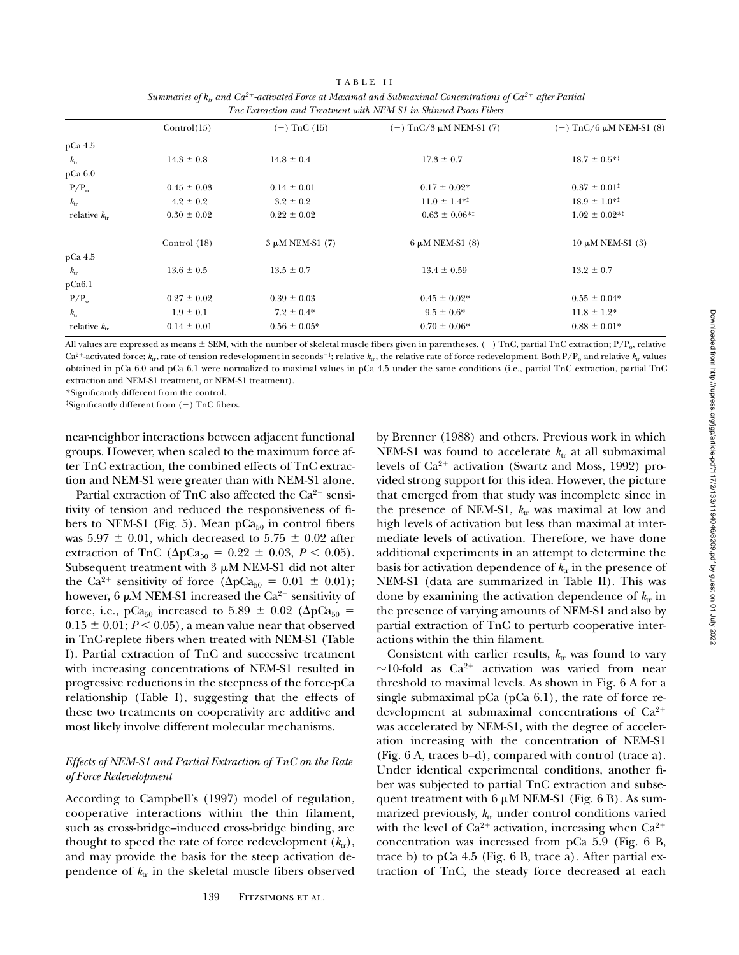|             |              | TABLE II                                                                                                                 |                   |
|-------------|--------------|--------------------------------------------------------------------------------------------------------------------------|-------------------|
|             |              | Summaries of $k_{tr}$ and $Ca^{2+}$ -activated Force at Maximal and Submaximal Concentrations of $Ca^{2+}$ after Partial |                   |
|             |              | The Extraction and Treatment with NEM-S1 in Skinned Psoas Fibers                                                         |                   |
| Control(15) | (–) TnC (15) | $(-)$ TnC/3 uM NEM-S1 (7)                                                                                                | $(-)$ TnC/ $\ell$ |

|                       | Control(15)     | $(-)$ TnC $(15)$     | $(-)$ TnC/3 μM NEM-S1 (7)    | $(-)$ TnC/6 μM NEM-S1 (8)  |
|-----------------------|-----------------|----------------------|------------------------------|----------------------------|
| pCa 4.5               |                 |                      |                              |                            |
| $k_{rr}$              | $14.3 \pm 0.8$  | $14.8 \pm 0.4$       | $17.3 \pm 0.7$               | $18.7 \pm 0.5^{*1}$        |
| pCa 6.0               |                 |                      |                              |                            |
| $P/P_0$               | $0.45 \pm 0.03$ | $0.14 \pm 0.01$      | $0.17 \pm 0.02*$             | $0.37 \pm 0.01^{\ddagger}$ |
| $k_{rr}$              | $4.2 \pm 0.2$   | $3.2 \pm 0.2$        | $11.0 \pm 1.4$ <sup>*1</sup> | $18.9 \pm 1.0^{*1}$        |
| relative $k_{\rm tr}$ | $0.30 \pm 0.02$ | $0.22 \pm 0.02$      | $0.63 \pm 0.06^{*1}$         | $1.02 \pm 0.02^{*1}$       |
|                       | Control $(18)$  | $3 \mu M$ NEM-S1 (7) | $6 \mu M$ NEM-S1 $(8)$       | $10 \mu M$ NEM-S1 (3)      |
| pCa 4.5               |                 |                      |                              |                            |
| $k_{rr}$              | $13.6 \pm 0.5$  | $13.5 \pm 0.7$       | $13.4 \pm 0.59$              | $13.2 \pm 0.7$             |
| pCa6.1                |                 |                      |                              |                            |
| $P/P_0$               | $0.27 \pm 0.02$ | $0.39 \pm 0.03$      | $0.45 \pm 0.02*$             | $0.55 \pm 0.04*$           |
| $k_{rr}$              | $1.9 \pm 0.1$   | $7.2 \pm 0.4*$       | $9.5 \pm 0.6^*$              | $11.8 \pm 1.2^*$           |
| relative $k_{rr}$     | $0.14 \pm 0.01$ | $0.56 \pm 0.05*$     | $0.70 \pm 0.06*$             | $0.88 \pm 0.01*$           |

All values are expressed as means  $\pm$  SEM, with the number of skeletal muscle fibers given in parentheses. (-) TnC, partial TnC extraction; P/P<sub>o</sub>, relative  $Ca^{2+}$ -activated force;  $k_{tr}$ , rate of tension redevelopment in seconds<sup>-1</sup>; relative  $k_{tr}$ , the relative rate of force redevelopment. Both  $P/P_0$  and relative  $k_{tr}$  values obtained in pCa 6.0 and pCa 6.1 were normalized to maximal values in pCa 4.5 under the same conditions (i.e., partial TnC extraction, partial TnC extraction and NEM-S1 treatment, or NEM-S1 treatment).

\*Significantly different from the control.

‡Significantly different from (2) TnC fibers.

near-neighbor interactions between adjacent functional groups. However, when scaled to the maximum force after TnC extraction, the combined effects of TnC extraction and NEM-S1 were greater than with NEM-S1 alone.

Partial extraction of TnC also affected the  $Ca^{2+}$  sensitivity of tension and reduced the responsiveness of fibers to NEM-S1 (Fig. 5). Mean  $pCa<sub>50</sub>$  in control fibers was  $5.97 \pm 0.01$ , which decreased to  $5.75 \pm 0.02$  after extraction of TnC ( $\Delta p Ca_{50} = 0.22 \pm 0.03, P < 0.05$ ). Subsequent treatment with  $3 \mu M$  NEM-S1 did not alter the Ca<sup>2+</sup> sensitivity of force ( $\Delta pCa_{50} = 0.01 \pm 0.01$ ); however, 6  $\mu$ M NEM-S1 increased the Ca<sup>2+</sup> sensitivity of force, i.e., pCa<sub>50</sub> increased to 5.89  $\pm$  0.02 ( $\Delta p$ Ca<sub>50</sub> =  $0.15 \pm 0.01$ ;  $P < 0.05$ ), a mean value near that observed in TnC-replete fibers when treated with NEM-S1 (Table I). Partial extraction of TnC and successive treatment with increasing concentrations of NEM-S1 resulted in progressive reductions in the steepness of the force-pCa relationship (Table I), suggesting that the effects of these two treatments on cooperativity are additive and most likely involve different molecular mechanisms.

# *Effects of NEM-S1 and Partial Extraction of TnC on the Rate of Force Redevelopment*

According to Campbell's (1997) model of regulation, cooperative interactions within the thin filament, such as cross-bridge–induced cross-bridge binding, are thought to speed the rate of force redevelopment  $(k_{tr})$ , and may provide the basis for the steep activation dependence of  $k_{tr}$  in the skeletal muscle fibers observed

by Brenner (1988) and others. Previous work in which NEM-S1 was found to accelerate  $k_{tr}$  at all submaximal levels of  $Ca^{2+}$  activation (Swartz and Moss, 1992) provided strong support for this idea. However, the picture that emerged from that study was incomplete since in the presence of NEM-S1,  $k_{tr}$  was maximal at low and high levels of activation but less than maximal at intermediate levels of activation. Therefore, we have done additional experiments in an attempt to determine the basis for activation dependence of  $k_{tr}$  in the presence of NEM-S1 (data are summarized in Table II). This was done by examining the activation dependence of  $k_{tr}$  in the presence of varying amounts of NEM-S1 and also by partial extraction of TnC to perturb cooperative interactions within the thin filament.

Consistent with earlier results,  $k_{tr}$  was found to vary  $\sim$ 10-fold as Ca<sup>2+</sup> activation was varied from near threshold to maximal levels. As shown in Fig. 6 A for a single submaximal pCa  $(pCa 6.1)$ , the rate of force redevelopment at submaximal concentrations of  $Ca^{2+}$ was accelerated by NEM-S1, with the degree of acceleration increasing with the concentration of NEM-S1 (Fig. 6 A, traces b–d), compared with control (trace a). Under identical experimental conditions, another fiber was subjected to partial TnC extraction and subsequent treatment with  $6 \mu M$  NEM-S1 (Fig. 6 B). As summarized previously,  $k_{tr}$  under control conditions varied with the level of  $Ca^{2+}$  activation, increasing when  $Ca^{2+}$ concentration was increased from pCa 5.9 (Fig. 6 B, trace b) to pCa 4.5 (Fig. 6 B, trace a). After partial extraction of TnC, the steady force decreased at each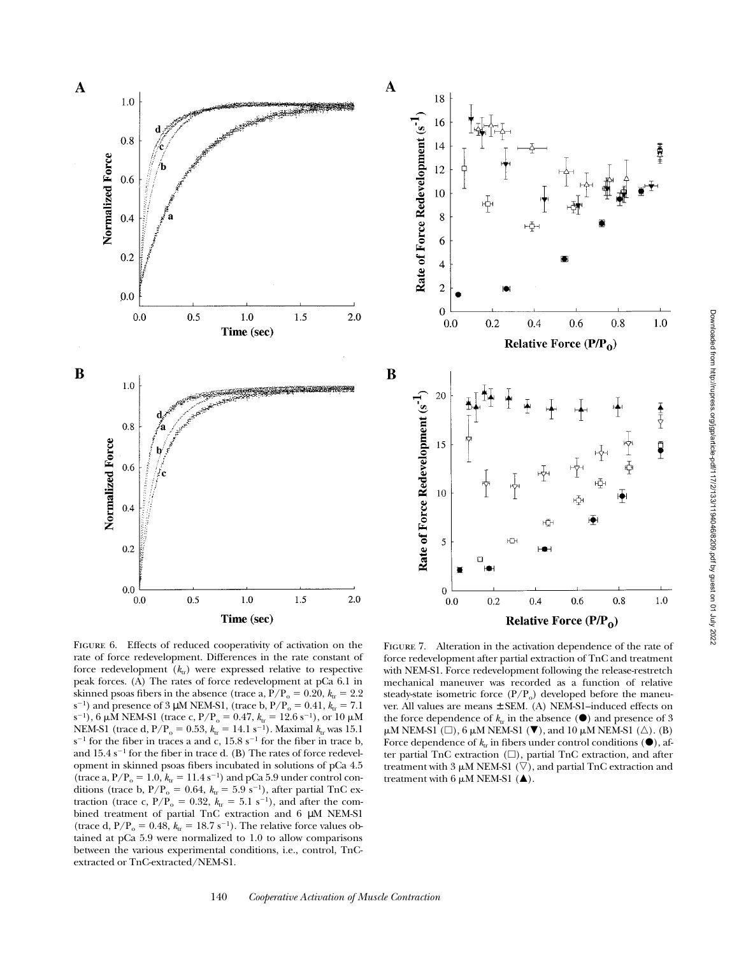



B

FIGURE 6. Effects of reduced cooperativity of activation on the rate of force redevelopment. Differences in the rate constant of force redevelopment ( $k_{\text{tr}}$ ) were expressed relative to respective peak forces. (A) The rates of force redevelopment at pCa 6.1 in skinned psoas fibers in the absence (trace a,  $P/P_0 = 0.20$ ,  $k_{\text{tr}} = 2.2$ ) s<sup>-1</sup>) and presence of 3 µM NEM-S1, (trace b,  $P/P_0 = 0.41$ ,  $k<sub>tr</sub> = 7.1$ s<sup>-1</sup>), 6  $\mu$ M NEM-S1 (trace c, P/P<sub>o</sub> = 0.47,  $k_{\text{tr}}$  = 12.6 s<sup>-1</sup>), or 10  $\mu$ M NEM-S1 (trace d,  $P/P_0 = 0.53$ ,  $k_{tr} = 14.1 \text{ s}^{-1}$ ). Maximal  $k_{tr}$  was 15.1  $s^{-1}$  for the fiber in traces a and c, 15.8  $s^{-1}$  for the fiber in trace b, and  $15.4 \text{ s}^{-1}$  for the fiber in trace d. (B) The rates of force redevelopment in skinned psoas fibers incubated in solutions of pCa 4.5 (trace a,  $P/P_0 = 1.0$ ,  $k_x = 11.4$  s<sup>-1</sup>) and pCa 5.9 under control conditions (trace b,  $P/P_0 = 0.64$ ,  $k<sub>tr</sub> = 5.9 s<sup>-1</sup>$ ), after partial TnC extraction (trace c,  $P/P_0 = 0.32$ ,  $k<sub>tr</sub> = 5.1 s<sup>-1</sup>$ ), and after the combined treatment of partial TnC extraction and 6 µM NEM-S1 (trace d,  $P/P_0 = 0.48$ ,  $k_{\text{tr}} = 18.7 \text{ s}^{-1}$ ). The relative force values obtained at pCa 5.9 were normalized to 1.0 to allow comparisons between the various experimental conditions, i.e., control, TnCextracted or TnC-extracted/NEM-S1.

FIGURE 7. Alteration in the activation dependence of the rate of force redevelopment after partial extraction of TnC and treatment with NEM-S1. Force redevelopment following the release-restretch mechanical maneuver was recorded as a function of relative steady-state isometric force  $(P/P_0)$  developed before the maneuver. All values are means ± SEM. (A) NEM-S1–induced effects on the force dependence of  $k_{tr}$  in the absence ( $\bullet$ ) and presence of 3  $\mu$ M NEM-S1 ( $\square$ ), 6  $\mu$ M NEM-S1 ( $\nabla$ ), and 10  $\mu$ M NEM-S1 ( $\triangle$ ). (B) Force dependence of  $k_{tr}$  in fibers under control conditions  $(\bullet)$ , after partial TnC extraction  $(\Box)$ , partial TnC extraction, and after treatment with 3  $\mu$ M NEM-S1 ( $\nabla$ ), and partial TnC extraction and treatment with 6  $\mu$ M NEM-S1 ( $\blacktriangle$ ).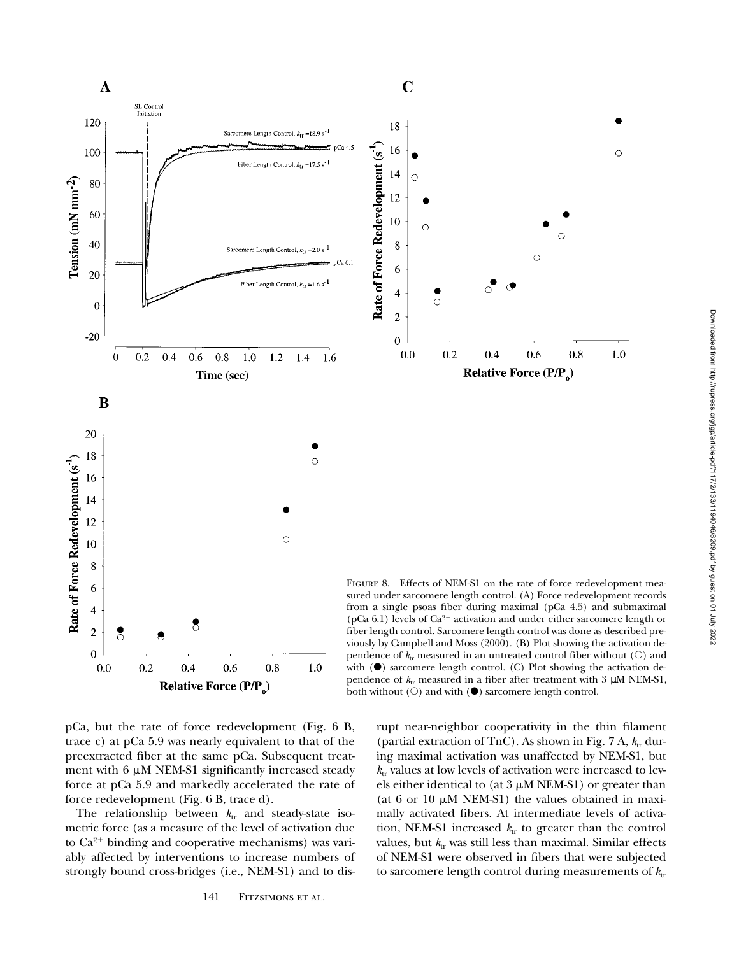

Relative Force (P/P<sub>o</sub>) pCa, but the rate of force redevelopment (Fig. 6 B, trace c) at pCa 5.9 was nearly equivalent to that of the preextracted fiber at the same pCa. Subsequent treatment with  $6 \mu M$  NEM-S1 significantly increased steady

force redevelopment (Fig. 6 B, trace d). The relationship between  $k_{tr}$  and steady-state isometric force (as a measure of the level of activation due to  $Ca^{2+}$  binding and cooperative mechanisms) was variably affected by interventions to increase numbers of strongly bound cross-bridges (i.e., NEM-S1) and to dis-

force at pCa 5.9 and markedly accelerated the rate of

rupt near-neighbor cooperativity in the thin filament (partial extraction of TnC). As shown in Fig.  $7$  A,  $k_{tr}$  during maximal activation was unaffected by NEM-S1, but  $k_{\text{tr}}$  values at low levels of activation were increased to levels either identical to (at  $3 \mu M NEM-S1$ ) or greater than (at 6 or 10  $\mu$ M NEM-S1) the values obtained in maximally activated fibers. At intermediate levels of activation, NEM-S1 increased  $k_{tr}$  to greater than the control values, but  $k_{tr}$  was still less than maximal. Similar effects of NEM-S1 were observed in fibers that were subjected to sarcomere length control during measurements of  $k_{tr}$ 

both without  $(O)$  and with  $(\bullet)$  sarcomere length control.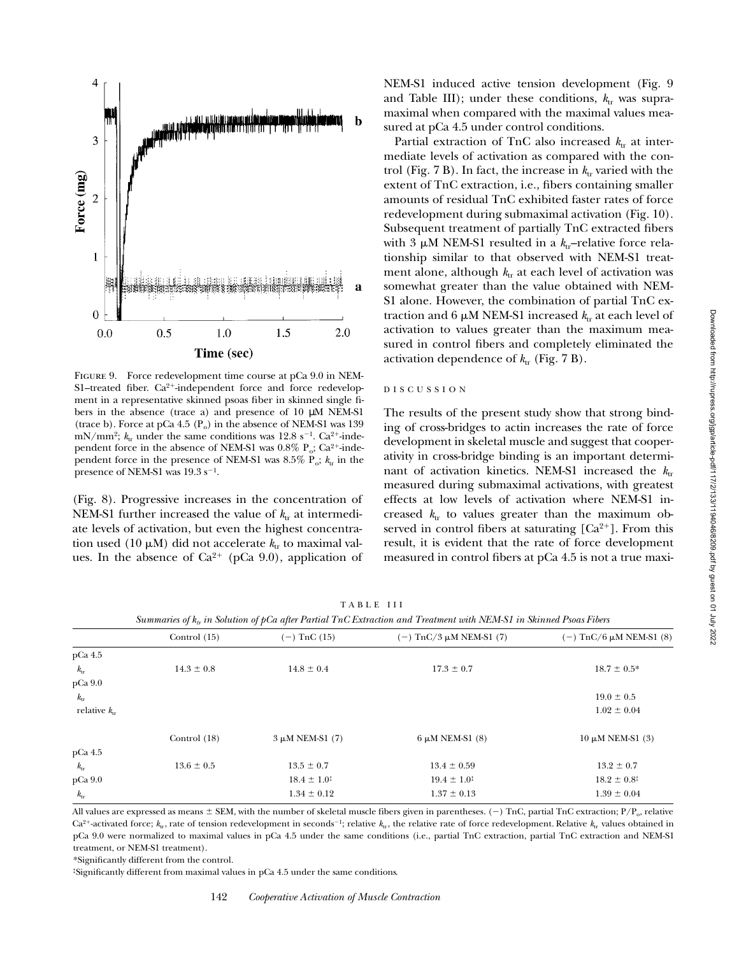

Figure 9. Force redevelopment time course at pCa 9.0 in NEM-S1–treated fiber.  $Ca^{2+}$ -independent force and force redevelopment in a representative skinned psoas fiber in skinned single fibers in the absence (trace a) and presence of 10  $\mu$ M NEM-S1 (trace b). Force at pCa 4.5  $(P_0)$  in the absence of NEM-S1 was 139 mN/mm<sup>2</sup>;  $k_{tr}$  under the same conditions was 12.8 s<sup>-1</sup>. Ca<sup>2+</sup>-independent force in the absence of NEM-S1 was  $0.8\%$  P<sub>o</sub>; Ca<sup>2+</sup>-independent force in the presence of NEM-S1 was 8.5% P<sub>o</sub>;  $k_{\text{tr}}$  in the presence of NEM-S1 was  $19.3 \text{ s}^{-1}$ .

(Fig. 8). Progressive increases in the concentration of NEM-S1 further increased the value of  $k_{tr}$  at intermediate levels of activation, but even the highest concentration used (10  $\mu$ M) did not accelerate  $k_{tr}$  to maximal values. In the absence of  $Ca^{2+}$  (pCa 9.0), application of

NEM-S1 induced active tension development (Fig. 9 and Table III); under these conditions,  $k_{tr}$  was supramaximal when compared with the maximal values measured at pCa 4.5 under control conditions.

Partial extraction of TnC also increased  $k_{tr}$  at intermediate levels of activation as compared with the control (Fig.  $7 B$ ). In fact, the increase in  $k_{tr}$  varied with the extent of TnC extraction, i.e., fibers containing smaller amounts of residual TnC exhibited faster rates of force redevelopment during submaximal activation (Fig. 10). Subsequent treatment of partially TnC extracted fibers with 3  $\mu$ M NEM-S1 resulted in a  $k_{\text{tr}}$ -relative force relationship similar to that observed with NEM-S1 treatment alone, although  $k_{tr}$  at each level of activation was somewhat greater than the value obtained with NEM-S1 alone. However, the combination of partial TnC extraction and 6  $\mu$ M NEM-S1 increased  $k_{tr}$  at each level of activation to values greater than the maximum measured in control fibers and completely eliminated the activation dependence of  $k_{tr}$  (Fig. 7 B).

# DISCUSSION

The results of the present study show that strong binding of cross-bridges to actin increases the rate of force development in skeletal muscle and suggest that cooperativity in cross-bridge binding is an important determinant of activation kinetics. NEM-S1 increased the  $k_{tr}$ measured during submaximal activations, with greatest effects at low levels of activation where NEM-S1 increased  $k_{tr}$  to values greater than the maximum observed in control fibers at saturating  $[Ca^{2+}]$ . From this result, it is evident that the rate of force development measured in control fibers at pCa 4.5 is not a true maxi-

TABLE III

*Summaries of k<sub>tr</sub> in Solution of pCa after Partial TnC Extraction and Treatment with NEM-S1 in Skinned Psoas Fibers* 

|                   |                | $\boldsymbol{J}$ $\boldsymbol{L}$ |                           |                           |
|-------------------|----------------|-----------------------------------|---------------------------|---------------------------|
|                   | Control $(15)$ | $(-)$ TnC $(15)$                  | $(-)$ TnC/3 μM NEM-S1 (7) | $(-)$ TnC/6 μM NEM-S1 (8) |
| pCa 4.5           |                |                                   |                           |                           |
| $k_{\rm tr}$      | $14.3 \pm 0.8$ | $14.8 \pm 0.4$                    | $17.3 \pm 0.7$            | $18.7 \pm 0.5^*$          |
| $pCa$ 9.0         |                |                                   |                           |                           |
| $k_{\rm tr}$      |                |                                   |                           | $19.0 \pm 0.5$            |
| relative $k_{rr}$ |                |                                   |                           | $1.02 \pm 0.04$           |
|                   | Control $(18)$ | $3 \mu M NEM-S1$ (7)              | $6 \mu M$ NEM-S1 $(8)$    | $10 \mu M$ NEM-S1 (3)     |
| pCa 4.5           |                |                                   |                           |                           |
| $k_{\rm tr}$      | $13.6 \pm 0.5$ | $13.5 \pm 0.7$                    | $13.4 \pm 0.59$           | $13.2 \pm 0.7$            |
| pCa 9.0           |                | $18.4 \pm 1.0^{\ddagger}$         | $19.4 \pm 1.0^{\ddagger}$ | $18.2 \pm 0.8^{\ddagger}$ |
| $k_{\rm tr}$      |                | $1.34 \pm 0.12$                   | $1.37 \pm 0.13$           | $1.39 \pm 0.04$           |
|                   |                |                                   |                           |                           |

All values are expressed as means  $\pm$  SEM, with the number of skeletal muscle fibers given in parentheses. (-) TnC, partial TnC extraction; P/P<sub>o</sub>, relative  $Ca^{2+}$ -activated force;  $k_{tr}$ , rate of tension redevelopment in seconds<sup>-1</sup>; relative  $k_{tr}$ , the relative rate of force redevelopment. Relative  $k_{tr}$  values obtained in pCa 9.0 were normalized to maximal values in pCa 4.5 under the same conditions (i.e., partial TnC extraction, partial TnC extraction and NEM-S1 treatment, or NEM-S1 treatment).

\*Significantly different from the control.

‡Significantly different from maximal values in pCa 4.5 under the same conditions.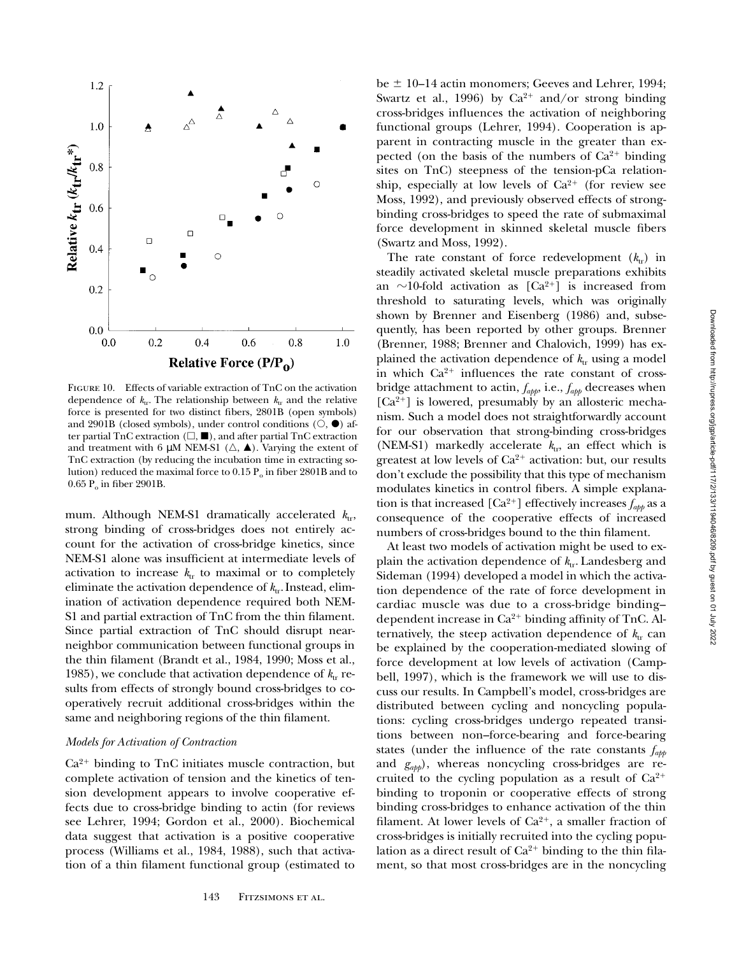

Figure 10. Effects of variable extraction of TnC on the activation dependence of  $k_{tr}$ . The relationship between  $k_{tr}$  and the relative force is presented for two distinct fibers, 2801B (open symbols) and 2901B (closed symbols), under control conditions  $(O, \bullet)$  after partial TnC extraction  $(\Box, \blacksquare)$ , and after partial TnC extraction and treatment with 6  $\mu$ M NEM-S1 ( $\Delta$ ,  $\blacktriangle$ ). Varying the extent of TnC extraction (by reducing the incubation time in extracting solution) reduced the maximal force to  $0.15 \, \text{P}_0$  in fiber 2801B and to  $0.65$  P<sub>o</sub> in fiber 2901B.

mum. Although NEM-S1 dramatically accelerated  $k_{\text{tr}}$ , strong binding of cross-bridges does not entirely account for the activation of cross-bridge kinetics, since NEM-S1 alone was insufficient at intermediate levels of activation to increase  $k_{tr}$  to maximal or to completely eliminate the activation dependence of  $k_{tr}$ . Instead, elimination of activation dependence required both NEM-S1 and partial extraction of TnC from the thin filament. Since partial extraction of TnC should disrupt nearneighbor communication between functional groups in the thin filament (Brandt et al., 1984, 1990; Moss et al., 1985), we conclude that activation dependence of  $k_{tr}$  results from effects of strongly bound cross-bridges to cooperatively recruit additional cross-bridges within the same and neighboring regions of the thin filament.

# *Models for Activation of Contraction*

 $Ca<sup>2+</sup>$  binding to TnC initiates muscle contraction, but complete activation of tension and the kinetics of tension development appears to involve cooperative effects due to cross-bridge binding to actin (for reviews see Lehrer, 1994; Gordon et al., 2000). Biochemical data suggest that activation is a positive cooperative process (Williams et al., 1984, 1988), such that activation of a thin filament functional group (estimated to

be  $\pm$  10–14 actin monomers; Geeves and Lehrer, 1994; Swartz et al., 1996) by  $Ca^{2+}$  and/or strong binding cross-bridges influences the activation of neighboring functional groups (Lehrer, 1994). Cooperation is apparent in contracting muscle in the greater than expected (on the basis of the numbers of  $Ca^{2+}$  binding sites on TnC) steepness of the tension-pCa relationship, especially at low levels of  $Ca^{2+}$  (for review see Moss, 1992), and previously observed effects of strongbinding cross-bridges to speed the rate of submaximal force development in skinned skeletal muscle fibers (Swartz and Moss, 1992).

The rate constant of force redevelopment  $(k_{tr})$  in steadily activated skeletal muscle preparations exhibits an  $\sim$ 10-fold activation as [Ca<sup>2+</sup>] is increased from threshold to saturating levels, which was originally shown by Brenner and Eisenberg (1986) and, subsequently, has been reported by other groups. Brenner (Brenner, 1988; Brenner and Chalovich, 1999) has explained the activation dependence of  $k_{tr}$  using a model in which  $Ca^{2+}$  influences the rate constant of crossbridge attachment to actin, *fapp*, i.e., *fapp* decreases when  $[Ca<sup>2+</sup>]$  is lowered, presumably by an allosteric mechanism. Such a model does not straightforwardly account for our observation that strong-binding cross-bridges (NEM-S1) markedly accelerate  $k_{\text{tr}}$ , an effect which is greatest at low levels of  $Ca^{2+}$  activation: but, our results don't exclude the possibility that this type of mechanism modulates kinetics in control fibers. A simple explanation is that increased  $[Ca^{2+}]$  effectively increases  $f_{abb}$  as a consequence of the cooperative effects of increased numbers of cross-bridges bound to the thin filament.

At least two models of activation might be used to explain the activation dependence of  $k_{tr}$ . Landesberg and Sideman (1994) developed a model in which the activation dependence of the rate of force development in cardiac muscle was due to a cross-bridge binding– dependent increase in  $Ca^{2+}$  binding affinity of TnC. Alternatively, the steep activation dependence of  $k_{tr}$  can be explained by the cooperation-mediated slowing of force development at low levels of activation (Campbell, 1997), which is the framework we will use to discuss our results. In Campbell's model, cross-bridges are distributed between cycling and noncycling populations: cycling cross-bridges undergo repeated transitions between non–force-bearing and force-bearing states (under the influence of the rate constants *fapp* and *gapp*), whereas noncycling cross-bridges are recruited to the cycling population as a result of  $Ca^{2+}$ binding to troponin or cooperative effects of strong binding cross-bridges to enhance activation of the thin filament. At lower levels of  $Ca^{2+}$ , a smaller fraction of cross-bridges is initially recruited into the cycling population as a direct result of  $Ca^{2+}$  binding to the thin filament, so that most cross-bridges are in the noncycling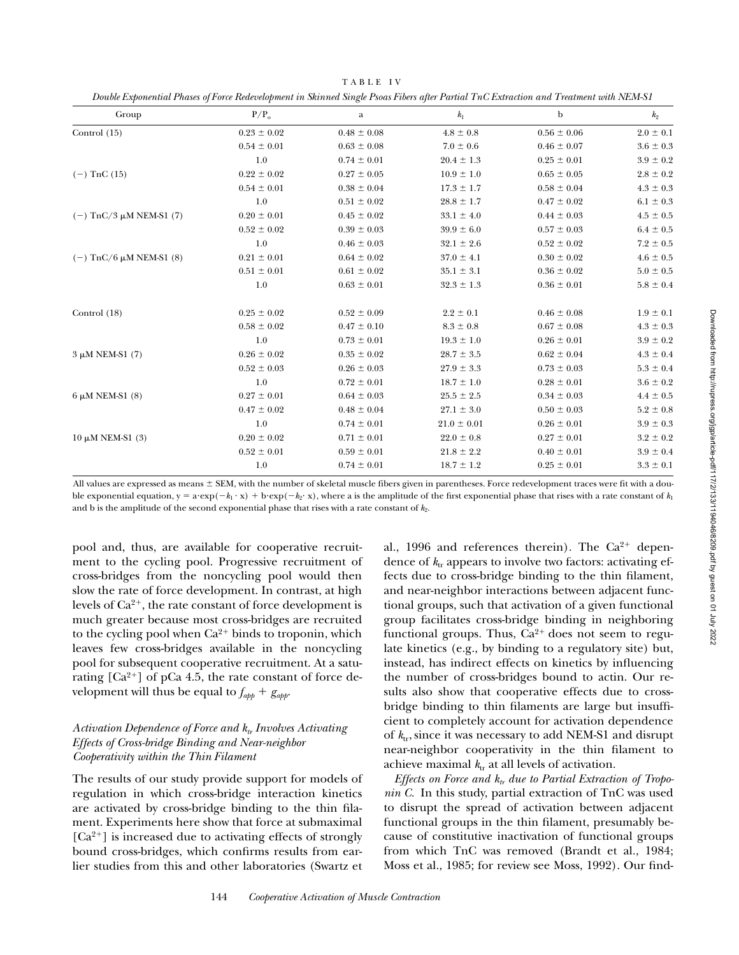| Group                     | $P/P_0$         | a               | $k_1$           | b               | $k_2$           |
|---------------------------|-----------------|-----------------|-----------------|-----------------|-----------------|
| Control $(15)$            | $0.23 \pm 0.02$ | $0.48 \pm 0.08$ | $4.8 \pm 0.8$   | $0.56 \pm 0.06$ | $2.0 \pm 0.1$   |
|                           | $0.54 \pm 0.01$ | $0.63 \pm 0.08$ | $7.0 \pm 0.6$   | $0.46 \pm 0.07$ | $3.6 \pm 0.3$   |
|                           | 1.0             | $0.74 \pm 0.01$ | $20.4 \pm 1.3$  | $0.25 \pm 0.01$ | $3.9 \pm 0.2$   |
| $(-)$ TnC $(15)$          | $0.22 \pm 0.02$ | $0.27 \pm 0.05$ | $10.9 \pm 1.0$  | $0.65 \pm 0.05$ | $2.8 \pm 0.2$   |
|                           | $0.54 \pm 0.01$ | $0.38 \pm 0.04$ | $17.3 \pm 1.7$  | $0.58 \pm 0.04$ | $4.3 \pm 0.3$   |
|                           | 1.0             | $0.51 \pm 0.02$ | $28.8 \pm 1.7$  | $0.47 \pm 0.02$ | $6.1 \pm 0.3$   |
| $(-)$ TnC/3 μM NEM-S1 (7) | $0.20 \pm 0.01$ | $0.45 \pm 0.02$ | $33.1 \pm 4.0$  | $0.44 \pm 0.03$ | $4.5 \pm 0.5$   |
|                           | $0.52 \pm 0.02$ | $0.39 \pm 0.03$ | $39.9 \pm 6.0$  | $0.57 \pm 0.03$ | $6.4 \pm 0.5$   |
|                           | 1.0             | $0.46 \pm 0.03$ | $32.1 \pm 2.6$  | $0.52 \pm 0.02$ | $7.2\,\pm\,0.5$ |
| $(-)$ TnC/6 μM NEM-S1 (8) | $0.21 \pm 0.01$ | $0.64 \pm 0.02$ | $37.0 \pm 4.1$  | $0.30 \pm 0.02$ | $4.6 \pm 0.5$   |
|                           | $0.51 \pm 0.01$ | $0.61 \pm 0.02$ | $35.1 \pm 3.1$  | $0.36 \pm 0.02$ | $5.0 \pm 0.5$   |
|                           | 1.0             | $0.63 \pm 0.01$ | $32.3 \pm 1.3$  | $0.36 \pm 0.01$ | $5.8 \pm 0.4$   |
| Control (18)              | $0.25 \pm 0.02$ | $0.52 \pm 0.09$ | $2.2 \pm 0.1$   | $0.46 \pm 0.08$ | $1.9 \pm 0.1$   |
|                           | $0.58 \pm 0.02$ | $0.47 \pm 0.10$ | $8.3 \pm 0.8$   | $0.67 \pm 0.08$ | $4.3 \pm 0.3$   |
|                           | 1.0             | $0.73 \pm 0.01$ | $19.3 \pm 1.0$  | $0.26 \pm 0.01$ | $3.9 \pm 0.2$   |
| $3 \mu M$ NEM-S1 (7)      | $0.26 \pm 0.02$ | $0.35 \pm 0.02$ | $28.7 \pm 3.5$  | $0.62 \pm 0.04$ | $4.3 \pm 0.4$   |
|                           | $0.52 \pm 0.03$ | $0.26 \pm 0.03$ | $27.9 \pm 3.3$  | $0.73 \pm 0.03$ | $5.3 \pm 0.4$   |
|                           | 1.0             | $0.72 \pm 0.01$ | $18.7 \pm 1.0$  | $0.28 \pm 0.01$ | $3.6 \pm 0.2$   |
| 6 μM NEM-S1 (8)           | $0.27 \pm 0.01$ | $0.64 \pm 0.03$ | $25.5 \pm 2.5$  | $0.34 \pm 0.03$ | $4.4 \pm 0.5$   |
|                           | $0.47 \pm 0.02$ | $0.48 \pm 0.04$ | $27.1 \pm 3.0$  | $0.50 \pm 0.03$ | $5.2 \pm 0.8$   |
|                           | 1.0             | $0.74 \pm 0.01$ | $21.0 \pm 0.01$ | $0.26 \pm 0.01$ | $3.9 \pm 0.3$   |
| $10 \mu M NEM-S1$ (3)     | $0.20 \pm 0.02$ | $0.71 \pm 0.01$ | $22.0 \pm 0.8$  | $0.27 \pm 0.01$ | $3.2 \pm 0.2$   |
|                           | $0.52 \pm 0.01$ | $0.59 \pm 0.01$ | $21.8 \pm 2.2$  | $0.40 \pm 0.01$ | $3.9 \pm 0.4$   |
|                           | 1.0             | $0.74 \pm 0.01$ | $18.7 \pm 1.2$  | $0.25 \pm 0.01$ | $3.3 \pm 0.1$   |

TABLE IV *Double Exponential Phases of Force Redevelopment in Skinned Single Psoas Fibers after Partial TnC Extraction and Treatment with NEM-S1*

All values are expressed as means  $\pm$  SEM, with the number of skeletal muscle fibers given in parentheses. Force redevelopment traces were fit with a double exponential equation,  $y = a \cdot \exp(-k_1 \cdot x) + b \cdot \exp(-k_2 \cdot x)$ , where a is the amplitude of the first exponential phase that rises with a rate constant of  $k_1$ and b is the amplitude of the second exponential phase that rises with a rate constant of  $k_2$ .

pool and, thus, are available for cooperative recruitment to the cycling pool. Progressive recruitment of cross-bridges from the noncycling pool would then slow the rate of force development. In contrast, at high levels of  $Ca^{2+}$ , the rate constant of force development is much greater because most cross-bridges are recruited to the cycling pool when  $Ca^{2+}$  binds to troponin, which leaves few cross-bridges available in the noncycling pool for subsequent cooperative recruitment. At a saturating  $[Ca^{2+}]$  of pCa 4.5, the rate constant of force development will thus be equal to  $f_{app} + g_{app}$ .

# *Activation Dependence of Force and*  $k_t$ *, Involves Activating Effects of Cross-bridge Binding and Near-neighbor Cooperativity within the Thin Filament*

The results of our study provide support for models of regulation in which cross-bridge interaction kinetics are activated by cross-bridge binding to the thin filament. Experiments here show that force at submaximal  $[Ca^{2+}]$  is increased due to activating effects of strongly bound cross-bridges, which confirms results from earlier studies from this and other laboratories (Swartz et

al., 1996 and references therein). The  $Ca^{2+}$  dependence of  $k_{tr}$  appears to involve two factors: activating effects due to cross-bridge binding to the thin filament, and near-neighbor interactions between adjacent functional groups, such that activation of a given functional group facilitates cross-bridge binding in neighboring functional groups. Thus,  $Ca^{2+}$  does not seem to regulate kinetics (e.g., by binding to a regulatory site) but, instead, has indirect effects on kinetics by influencing the number of cross-bridges bound to actin. Our results also show that cooperative effects due to crossbridge binding to thin filaments are large but insufficient to completely account for activation dependence of  $k_{\text{tr}}$ , since it was necessary to add NEM-S1 and disrupt near-neighbor cooperativity in the thin filament to achieve maximal  $k_{tr}$  at all levels of activation.

*Effects on Force and*  $k_r$  *due to Partial Extraction of Troponin C.* In this study, partial extraction of TnC was used to disrupt the spread of activation between adjacent functional groups in the thin filament, presumably because of constitutive inactivation of functional groups from which TnC was removed (Brandt et al., 1984; Moss et al., 1985; for review see Moss, 1992). Our find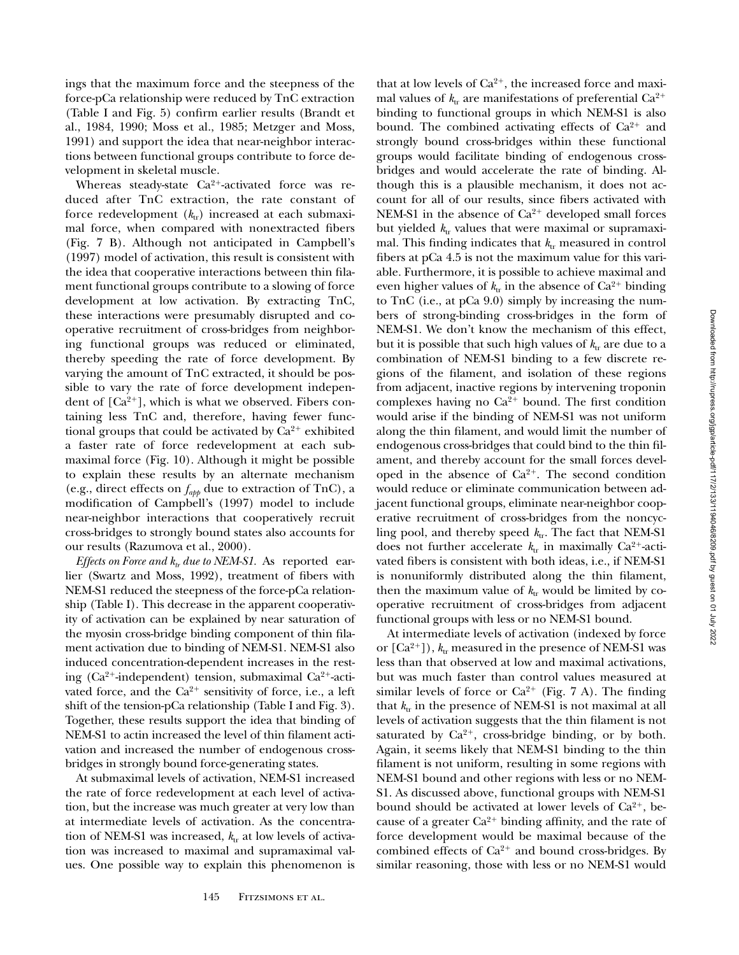ings that the maximum force and the steepness of the force-pCa relationship were reduced by TnC extraction (Table I and Fig. 5) confirm earlier results (Brandt et al., 1984, 1990; Moss et al., 1985; Metzger and Moss, 1991) and support the idea that near-neighbor interactions between functional groups contribute to force development in skeletal muscle.

Whereas steady-state Ca<sup>2+</sup>-activated force was reduced after TnC extraction, the rate constant of force redevelopment  $(k_{tr})$  increased at each submaximal force, when compared with nonextracted fibers (Fig. 7 B). Although not anticipated in Campbell's (1997) model of activation, this result is consistent with the idea that cooperative interactions between thin filament functional groups contribute to a slowing of force development at low activation. By extracting TnC, these interactions were presumably disrupted and cooperative recruitment of cross-bridges from neighboring functional groups was reduced or eliminated, thereby speeding the rate of force development. By varying the amount of TnC extracted, it should be possible to vary the rate of force development independent of  $[Ca^{2+}]$ , which is what we observed. Fibers containing less TnC and, therefore, having fewer functional groups that could be activated by  $Ca^{2+}$  exhibited a faster rate of force redevelopment at each submaximal force (Fig. 10). Although it might be possible to explain these results by an alternate mechanism (e.g., direct effects on *fapp* due to extraction of TnC), a modification of Campbell's (1997) model to include near-neighbor interactions that cooperatively recruit cross-bridges to strongly bound states also accounts for our results (Razumova et al., 2000).

*Effects on Force and*  $k_{tr}$  *due to NEM-S1.* As reported earlier (Swartz and Moss, 1992), treatment of fibers with NEM-S1 reduced the steepness of the force-pCa relationship (Table I). This decrease in the apparent cooperativity of activation can be explained by near saturation of the myosin cross-bridge binding component of thin filament activation due to binding of NEM-S1. NEM-S1 also induced concentration-dependent increases in the resting ( $Ca^{2+}$ -independent) tension, submaximal  $Ca^{2+}$ -activated force, and the  $Ca^{2+}$  sensitivity of force, i.e., a left shift of the tension-pCa relationship (Table I and Fig. 3). Together, these results support the idea that binding of NEM-S1 to actin increased the level of thin filament activation and increased the number of endogenous crossbridges in strongly bound force-generating states.

At submaximal levels of activation, NEM-S1 increased the rate of force redevelopment at each level of activation, but the increase was much greater at very low than at intermediate levels of activation. As the concentration of NEM-S1 was increased,  $k_{tr}$  at low levels of activation was increased to maximal and supramaximal values. One possible way to explain this phenomenon is

that at low levels of  $Ca^{2+}$ , the increased force and maximal values of  $k_{tr}$  are manifestations of preferential Ca<sup>2+</sup> binding to functional groups in which NEM-S1 is also bound. The combined activating effects of  $Ca^{2+}$  and strongly bound cross-bridges within these functional groups would facilitate binding of endogenous crossbridges and would accelerate the rate of binding. Although this is a plausible mechanism, it does not account for all of our results, since fibers activated with NEM-S1 in the absence of  $Ca^{2+}$  developed small forces but yielded  $k_{tr}$  values that were maximal or supramaximal. This finding indicates that  $k_{\text{tr}}$  measured in control fibers at pCa 4.5 is not the maximum value for this variable. Furthermore, it is possible to achieve maximal and even higher values of  $k_{tr}$  in the absence of  $Ca^{2+}$  binding to TnC (i.e., at pCa 9.0) simply by increasing the numbers of strong-binding cross-bridges in the form of NEM-S1. We don't know the mechanism of this effect, but it is possible that such high values of  $k_{tr}$  are due to a combination of NEM-S1 binding to a few discrete regions of the filament, and isolation of these regions from adjacent, inactive regions by intervening troponin complexes having no  $Ca^{2+}$  bound. The first condition would arise if the binding of NEM-S1 was not uniform along the thin filament, and would limit the number of endogenous cross-bridges that could bind to the thin filament, and thereby account for the small forces developed in the absence of  $Ca^{2+}$ . The second condition would reduce or eliminate communication between adjacent functional groups, eliminate near-neighbor cooperative recruitment of cross-bridges from the noncycling pool, and thereby speed  $k_{tr}$ . The fact that NEM-S1 does not further accelerate  $k_{\text{tr}}$  in maximally Ca<sup>2+</sup>-activated fibers is consistent with both ideas, i.e., if NEM-S1 is nonuniformly distributed along the thin filament, then the maximum value of  $k_{tr}$  would be limited by cooperative recruitment of cross-bridges from adjacent functional groups with less or no NEM-S1 bound.

At intermediate levels of activation (indexed by force or  $[Ca^{2+}]$ ),  $k_{tr}$  measured in the presence of NEM-S1 was less than that observed at low and maximal activations, but was much faster than control values measured at similar levels of force or  $Ca^{2+}$  (Fig. 7 A). The finding that  $k_{tr}$  in the presence of NEM-S1 is not maximal at all levels of activation suggests that the thin filament is not saturated by  $Ca^{2+}$ , cross-bridge binding, or by both. Again, it seems likely that NEM-S1 binding to the thin filament is not uniform, resulting in some regions with NEM-S1 bound and other regions with less or no NEM-S1. As discussed above, functional groups with NEM-S1 bound should be activated at lower levels of  $Ca^{2+}$ , because of a greater  $Ca^{2+}$  binding affinity, and the rate of force development would be maximal because of the combined effects of  $Ca^{2+}$  and bound cross-bridges. By similar reasoning, those with less or no NEM-S1 would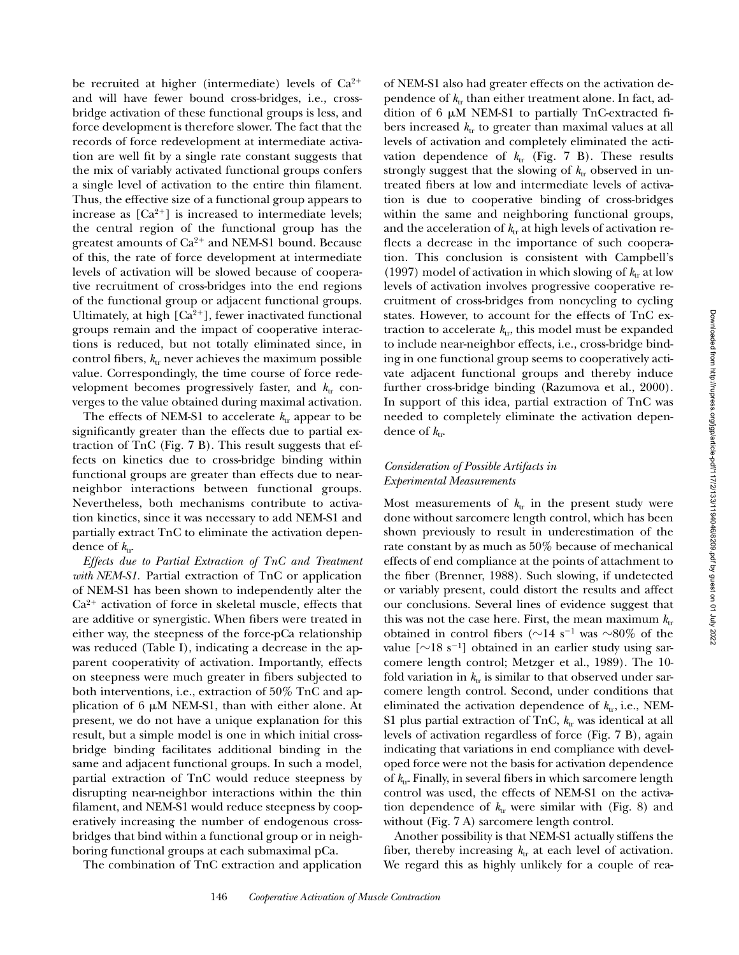be recruited at higher (intermediate) levels of  $Ca^{2+}$ and will have fewer bound cross-bridges, i.e., crossbridge activation of these functional groups is less, and force development is therefore slower. The fact that the records of force redevelopment at intermediate activation are well fit by a single rate constant suggests that the mix of variably activated functional groups confers a single level of activation to the entire thin filament. Thus, the effective size of a functional group appears to increase as  $[Ca^{2+}]$  is increased to intermediate levels; the central region of the functional group has the greatest amounts of  $Ca^{2+}$  and NEM-S1 bound. Because of this, the rate of force development at intermediate levels of activation will be slowed because of cooperative recruitment of cross-bridges into the end regions of the functional group or adjacent functional groups. Ultimately, at high  $[Ca^{2+}]$ , fewer inactivated functional groups remain and the impact of cooperative interactions is reduced, but not totally eliminated since, in control fibers,  $k_{tr}$  never achieves the maximum possible value. Correspondingly, the time course of force redevelopment becomes progressively faster, and  $k_{tr}$  converges to the value obtained during maximal activation.

The effects of NEM-S1 to accelerate  $k_{tr}$  appear to be significantly greater than the effects due to partial extraction of TnC (Fig. 7 B). This result suggests that effects on kinetics due to cross-bridge binding within functional groups are greater than effects due to nearneighbor interactions between functional groups. Nevertheless, both mechanisms contribute to activation kinetics, since it was necessary to add NEM-S1 and partially extract TnC to eliminate the activation dependence of  $k_{\text{tr}}$ .

*Effects due to Partial Extraction of TnC and Treatment with NEM-S1.* Partial extraction of TnC or application of NEM-S1 has been shown to independently alter the  $Ca<sup>2+</sup>$  activation of force in skeletal muscle, effects that are additive or synergistic. When fibers were treated in either way, the steepness of the force-pCa relationship was reduced (Table I), indicating a decrease in the apparent cooperativity of activation. Importantly, effects on steepness were much greater in fibers subjected to both interventions, i.e., extraction of 50% TnC and application of 6  $\mu$ M NEM-S1, than with either alone. At present, we do not have a unique explanation for this result, but a simple model is one in which initial crossbridge binding facilitates additional binding in the same and adjacent functional groups. In such a model, partial extraction of TnC would reduce steepness by disrupting near-neighbor interactions within the thin filament, and NEM-S1 would reduce steepness by cooperatively increasing the number of endogenous crossbridges that bind within a functional group or in neighboring functional groups at each submaximal pCa.

The combination of TnC extraction and application

of NEM-S1 also had greater effects on the activation dependence of  $k_{tr}$  than either treatment alone. In fact, addition of 6  $\mu$ M NEM-S1 to partially TnC-extracted fibers increased  $k_{tr}$  to greater than maximal values at all levels of activation and completely eliminated the activation dependence of  $k_{tr}$  (Fig. 7 B). These results strongly suggest that the slowing of  $k_{tr}$  observed in untreated fibers at low and intermediate levels of activation is due to cooperative binding of cross-bridges within the same and neighboring functional groups, and the acceleration of  $k_{tr}$  at high levels of activation reflects a decrease in the importance of such cooperation. This conclusion is consistent with Campbell's (1997) model of activation in which slowing of  $k_{tr}$  at low levels of activation involves progressive cooperative recruitment of cross-bridges from noncycling to cycling states. However, to account for the effects of TnC extraction to accelerate  $k_{\text{tr}}$ , this model must be expanded to include near-neighbor effects, i.e., cross-bridge binding in one functional group seems to cooperatively activate adjacent functional groups and thereby induce further cross-bridge binding (Razumova et al., 2000). In support of this idea, partial extraction of TnC was needed to completely eliminate the activation dependence of  $k_{\text{tr}}$ .

# *Consideration of Possible Artifacts in Experimental Measurements*

Most measurements of  $k_{tr}$  in the present study were done without sarcomere length control, which has been shown previously to result in underestimation of the rate constant by as much as 50% because of mechanical effects of end compliance at the points of attachment to the fiber (Brenner, 1988). Such slowing, if undetected or variably present, could distort the results and affect our conclusions. Several lines of evidence suggest that this was not the case here. First, the mean maximum  $k_{tr}$ obtained in control fibers ( $\sim$ 14 s<sup>-1</sup> was  $\sim$ 80% of the value  $[\sim]18 \text{ s}^{-1}]$  obtained in an earlier study using sarcomere length control; Metzger et al., 1989). The 10 fold variation in  $k_{tr}$  is similar to that observed under sarcomere length control. Second, under conditions that eliminated the activation dependence of  $k_{tr}$ , i.e., NEM-S1 plus partial extraction of TnC,  $k_{tr}$  was identical at all levels of activation regardless of force (Fig. 7 B), again indicating that variations in end compliance with developed force were not the basis for activation dependence of  $k_{tr}$ . Finally, in several fibers in which sarcomere length control was used, the effects of NEM-S1 on the activation dependence of  $k_{tr}$  were similar with (Fig. 8) and without (Fig. 7 A) sarcomere length control.

Another possibility is that NEM-S1 actually stiffens the fiber, thereby increasing  $k_{tr}$  at each level of activation. We regard this as highly unlikely for a couple of rea-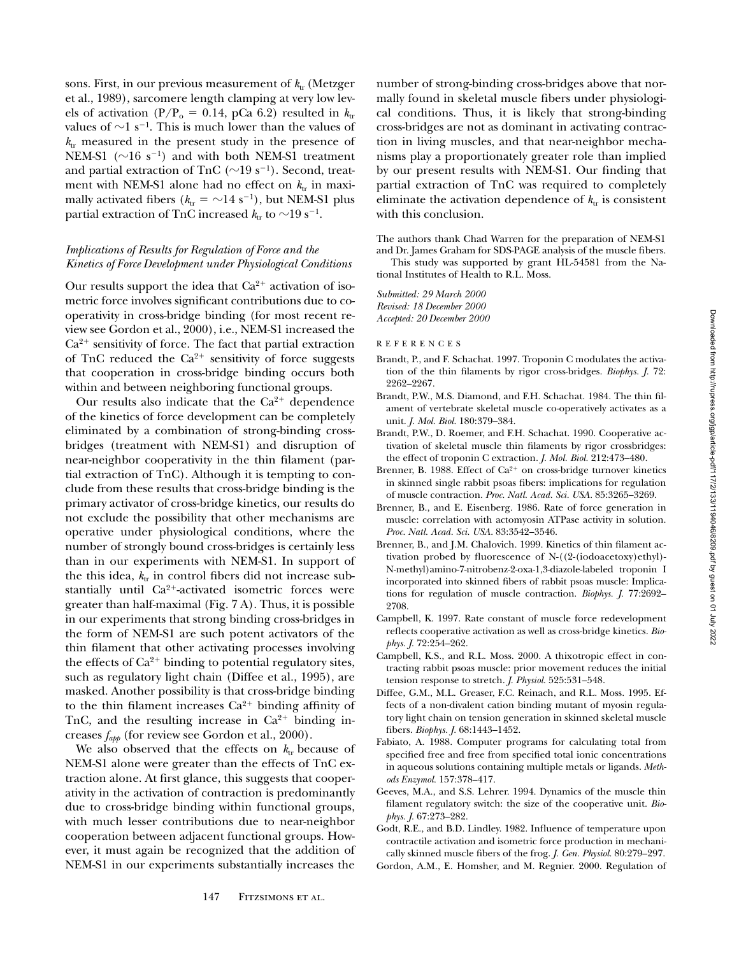sons. First, in our previous measurement of  $k_{tr}$  (Metzger et al., 1989), sarcomere length clamping at very low levels of activation (P/P<sub>o</sub> = 0.14, pCa 6.2) resulted in  $k_{\text{tr}}$ values of  $\sim$ 1 s<sup>-1</sup>. This is much lower than the values of  $k_{tr}$  measured in the present study in the presence of NEM-S1 ( $\sim$ 16 s<sup>-1</sup>) and with both NEM-S1 treatment and partial extraction of TnC ( $\sim$ 19 s<sup>-1</sup>). Second, treatment with NEM-S1 alone had no effect on  $k_{\text{tr}}$  in maximally activated fibers ( $k_{\text{tr}} = \sim 14 \text{ s}^{-1}$ ), but NEM-S1 plus partial extraction of TnC increased  $k_{tr}$  to  $\sim$ 19 s<sup>-1</sup>.

# *Implications of Results for Regulation of Force and the Kinetics of Force Development under Physiological Conditions*

Our results support the idea that  $Ca^{2+}$  activation of isometric force involves significant contributions due to cooperativity in cross-bridge binding (for most recent review see Gordon et al., 2000), i.e., NEM-S1 increased the  $Ca<sup>2+</sup>$  sensitivity of force. The fact that partial extraction of TnC reduced the  $Ca^{2+}$  sensitivity of force suggests that cooperation in cross-bridge binding occurs both within and between neighboring functional groups.

Our results also indicate that the  $Ca^{2+}$  dependence of the kinetics of force development can be completely eliminated by a combination of strong-binding crossbridges (treatment with NEM-S1) and disruption of near-neighbor cooperativity in the thin filament (partial extraction of TnC). Although it is tempting to conclude from these results that cross-bridge binding is the primary activator of cross-bridge kinetics, our results do not exclude the possibility that other mechanisms are operative under physiological conditions, where the number of strongly bound cross-bridges is certainly less than in our experiments with NEM-S1. In support of the this idea,  $k_{\text{tr}}$  in control fibers did not increase substantially until  $Ca^{2+}$ -activated isometric forces were greater than half-maximal (Fig. 7 A). Thus, it is possible in our experiments that strong binding cross-bridges in the form of NEM-S1 are such potent activators of the thin filament that other activating processes involving the effects of  $Ca^{2+}$  binding to potential regulatory sites, such as regulatory light chain (Diffee et al., 1995), are masked. Another possibility is that cross-bridge binding to the thin filament increases  $Ca^{2+}$  binding affinity of TnC, and the resulting increase in  $Ca^{2+}$  binding increases *fapp* (for review see Gordon et al., 2000).

We also observed that the effects on  $k_{tr}$  because of NEM-S1 alone were greater than the effects of TnC extraction alone. At first glance, this suggests that cooperativity in the activation of contraction is predominantly due to cross-bridge binding within functional groups, with much lesser contributions due to near-neighbor cooperation between adjacent functional groups. However, it must again be recognized that the addition of NEM-S1 in our experiments substantially increases the

number of strong-binding cross-bridges above that normally found in skeletal muscle fibers under physiological conditions. Thus, it is likely that strong-binding cross-bridges are not as dominant in activating contraction in living muscles, and that near-neighbor mechanisms play a proportionately greater role than implied by our present results with NEM-S1. Our finding that partial extraction of TnC was required to completely eliminate the activation dependence of  $k_{tr}$  is consistent with this conclusion.

The authors thank Chad Warren for the preparation of NEM-S1 and Dr. James Graham for SDS-PAGE analysis of the muscle fibers.

This study was supported by grant HL-54581 from the National Institutes of Health to R.L. Moss.

*Submitted: 29 March 2000 Revised: 18 December 2000 Accepted: 20 December 2000*

REFERENCES

- Brandt, P., and F. Schachat. 1997. Troponin C modulates the activation of the thin filaments by rigor cross-bridges. *Biophys. J.* 72: 2262–2267.
- Brandt, P.W., M.S. Diamond, and F.H. Schachat. 1984. The thin filament of vertebrate skeletal muscle co-operatively activates as a unit. *J. Mol. Biol.* 180:379–384.
- Brandt, P.W., D. Roemer, and F.H. Schachat. 1990. Cooperative activation of skeletal muscle thin filaments by rigor crossbridges: the effect of troponin C extraction. *J. Mol. Biol.* 212:473–480.
- Brenner, B. 1988. Effect of  $Ca^{2+}$  on cross-bridge turnover kinetics in skinned single rabbit psoas fibers: implications for regulation of muscle contraction. *Proc. Natl. Acad. Sci. USA.* 85:3265–3269.
- Brenner, B., and E. Eisenberg. 1986. Rate of force generation in muscle: correlation with actomyosin ATPase activity in solution. *Proc. Natl. Acad. Sci. USA.* 83:3542–3546.
- Brenner, B., and J.M. Chalovich. 1999. Kinetics of thin filament activation probed by fluorescence of N-((2-(iodoacetoxy)ethyl)- N-methyl)amino-7-nitrobenz-2-oxa-1,3-diazole-labeled troponin I incorporated into skinned fibers of rabbit psoas muscle: Implications for regulation of muscle contraction. *Biophys. J.* 77:2692– 2708.
- Campbell, K. 1997. Rate constant of muscle force redevelopment reflects cooperative activation as well as cross-bridge kinetics. *Biophys. J.* 72:254–262.
- Campbell, K.S., and R.L. Moss. 2000. A thixotropic effect in contracting rabbit psoas muscle: prior movement reduces the initial tension response to stretch. *J. Physiol.* 525:531–548.
- Diffee, G.M., M.L. Greaser, F.C. Reinach, and R.L. Moss. 1995. Effects of a non-divalent cation binding mutant of myosin regulatory light chain on tension generation in skinned skeletal muscle fibers. *Biophys. J.* 68:1443–1452.
- Fabiato, A. 1988. Computer programs for calculating total from specified free and free from specified total ionic concentrations in aqueous solutions containing multiple metals or ligands. *Methods Enzymol.* 157:378–417.
- Geeves, M.A., and S.S. Lehrer. 1994. Dynamics of the muscle thin filament regulatory switch: the size of the cooperative unit. *Biophys. J.* 67:273–282.
- Godt, R.E., and B.D. Lindley. 1982. Influence of temperature upon contractile activation and isometric force production in mechanically skinned muscle fibers of the frog. *J. Gen. Physiol.* 80:279–297.
- Gordon, A.M., E. Homsher, and M. Regnier. 2000. Regulation of